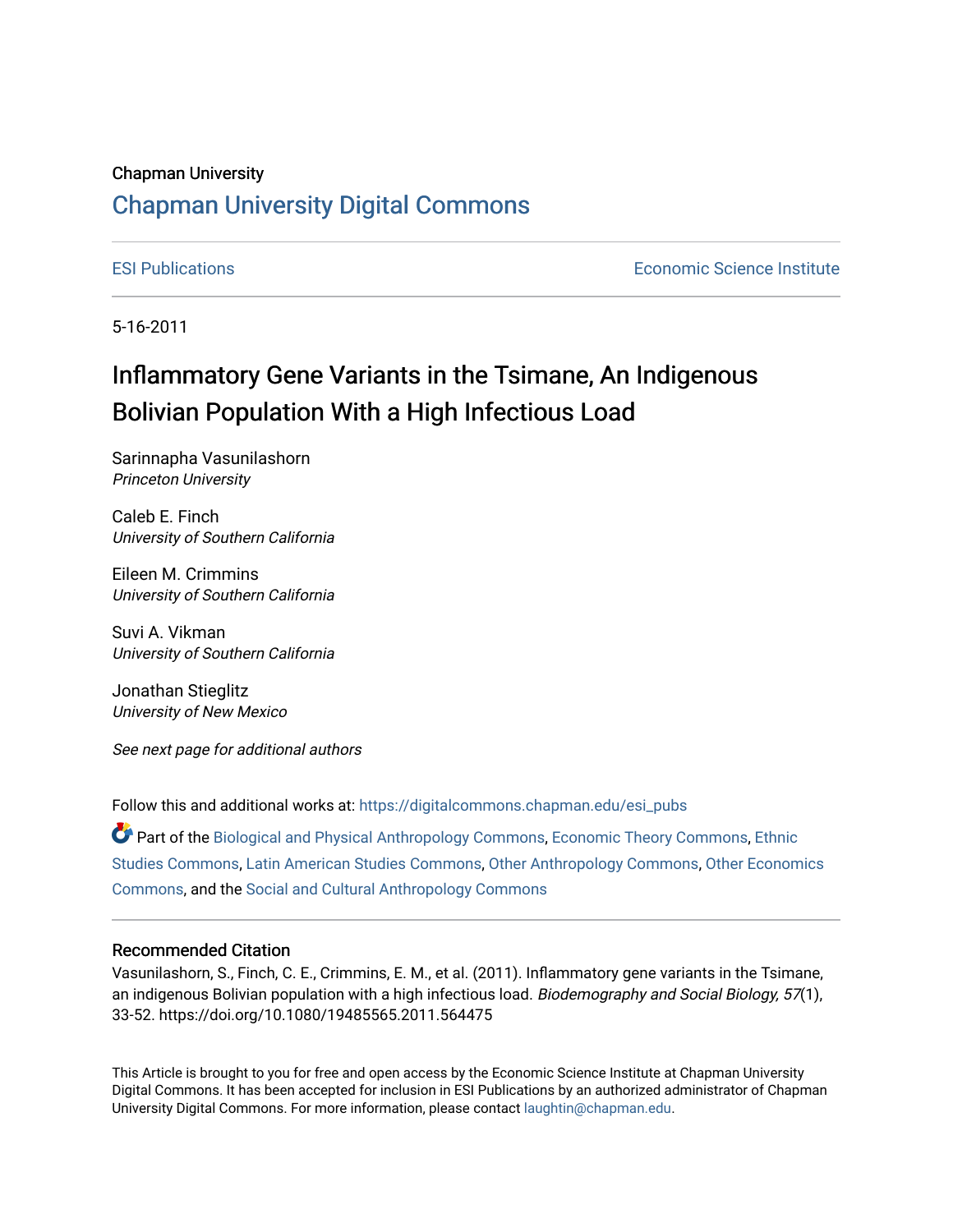# Chapman University

## [Chapman University Digital Commons](https://digitalcommons.chapman.edu/)

[ESI Publications](https://digitalcommons.chapman.edu/esi_pubs) [Economic Science Institute](https://digitalcommons.chapman.edu/esi) 

5-16-2011

# Inflammatory Gene Variants in the Tsimane, An Indigenous Bolivian Population With a High Infectious Load

Sarinnapha Vasunilashorn Princeton University

Caleb E. Finch University of Southern California

Eileen M. Crimmins University of Southern California

Suvi A. Vikman University of Southern California

Jonathan Stieglitz University of New Mexico

See next page for additional authors

Follow this and additional works at: [https://digitalcommons.chapman.edu/esi\\_pubs](https://digitalcommons.chapman.edu/esi_pubs?utm_source=digitalcommons.chapman.edu%2Fesi_pubs%2F223&utm_medium=PDF&utm_campaign=PDFCoverPages) 

Part of the [Biological and Physical Anthropology Commons](http://network.bepress.com/hgg/discipline/320?utm_source=digitalcommons.chapman.edu%2Fesi_pubs%2F223&utm_medium=PDF&utm_campaign=PDFCoverPages), [Economic Theory Commons,](http://network.bepress.com/hgg/discipline/344?utm_source=digitalcommons.chapman.edu%2Fesi_pubs%2F223&utm_medium=PDF&utm_campaign=PDFCoverPages) [Ethnic](http://network.bepress.com/hgg/discipline/570?utm_source=digitalcommons.chapman.edu%2Fesi_pubs%2F223&utm_medium=PDF&utm_campaign=PDFCoverPages)  [Studies Commons,](http://network.bepress.com/hgg/discipline/570?utm_source=digitalcommons.chapman.edu%2Fesi_pubs%2F223&utm_medium=PDF&utm_campaign=PDFCoverPages) [Latin American Studies Commons,](http://network.bepress.com/hgg/discipline/363?utm_source=digitalcommons.chapman.edu%2Fesi_pubs%2F223&utm_medium=PDF&utm_campaign=PDFCoverPages) [Other Anthropology Commons](http://network.bepress.com/hgg/discipline/324?utm_source=digitalcommons.chapman.edu%2Fesi_pubs%2F223&utm_medium=PDF&utm_campaign=PDFCoverPages), [Other Economics](http://network.bepress.com/hgg/discipline/353?utm_source=digitalcommons.chapman.edu%2Fesi_pubs%2F223&utm_medium=PDF&utm_campaign=PDFCoverPages)  [Commons](http://network.bepress.com/hgg/discipline/353?utm_source=digitalcommons.chapman.edu%2Fesi_pubs%2F223&utm_medium=PDF&utm_campaign=PDFCoverPages), and the [Social and Cultural Anthropology Commons](http://network.bepress.com/hgg/discipline/323?utm_source=digitalcommons.chapman.edu%2Fesi_pubs%2F223&utm_medium=PDF&utm_campaign=PDFCoverPages) 

## Recommended Citation

Vasunilashorn, S., Finch, C. E., Crimmins, E. M., et al. (2011). Inflammatory gene variants in the Tsimane, an indigenous Bolivian population with a high infectious load. Biodemography and Social Biology, 57(1), 33-52. https://doi.org/10.1080/19485565.2011.564475

This Article is brought to you for free and open access by the Economic Science Institute at Chapman University Digital Commons. It has been accepted for inclusion in ESI Publications by an authorized administrator of Chapman University Digital Commons. For more information, please contact [laughtin@chapman.edu.](mailto:laughtin@chapman.edu)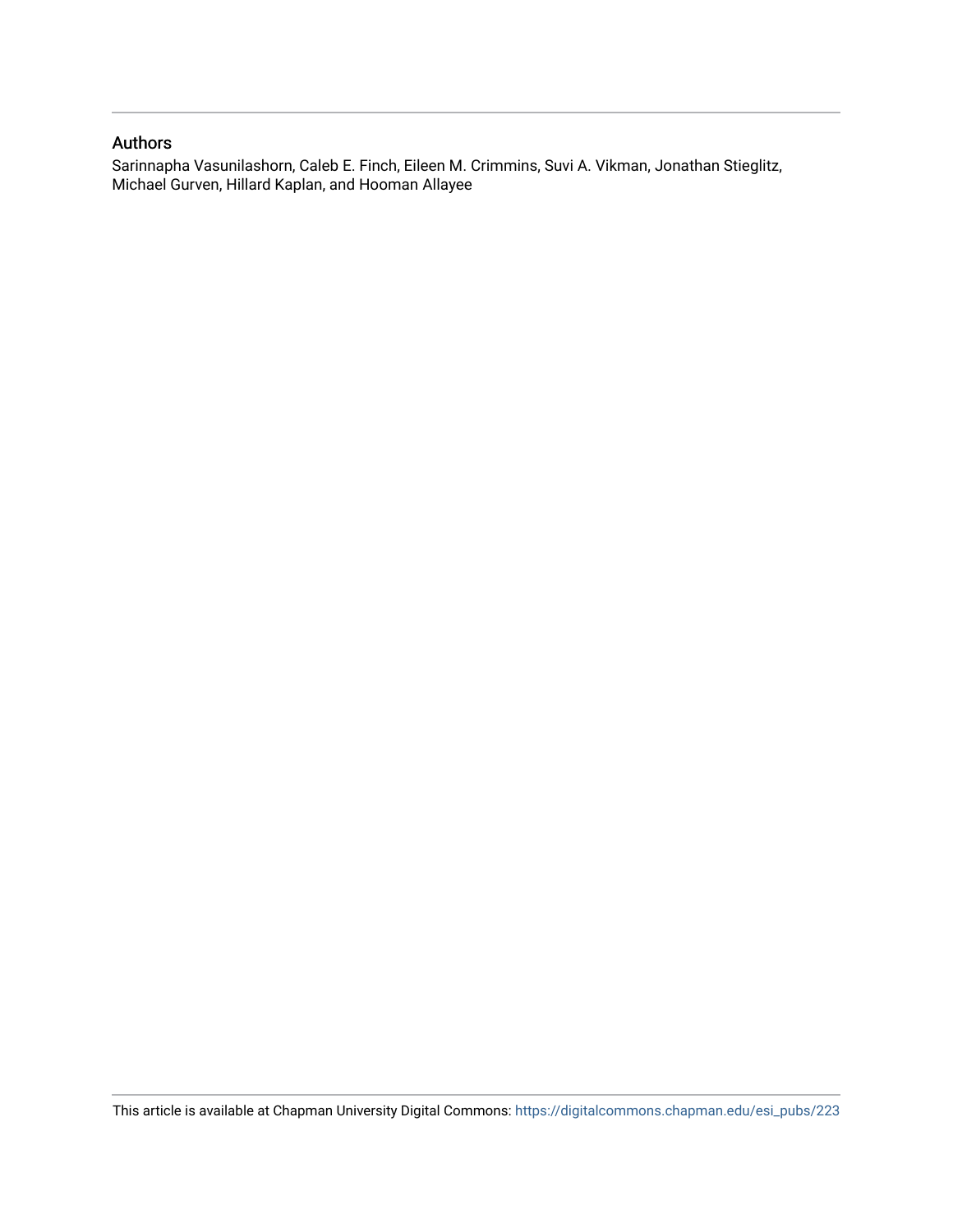## Authors

Sarinnapha Vasunilashorn, Caleb E. Finch, Eileen M. Crimmins, Suvi A. Vikman, Jonathan Stieglitz, Michael Gurven, Hillard Kaplan, and Hooman Allayee

This article is available at Chapman University Digital Commons: [https://digitalcommons.chapman.edu/esi\\_pubs/223](https://digitalcommons.chapman.edu/esi_pubs/223)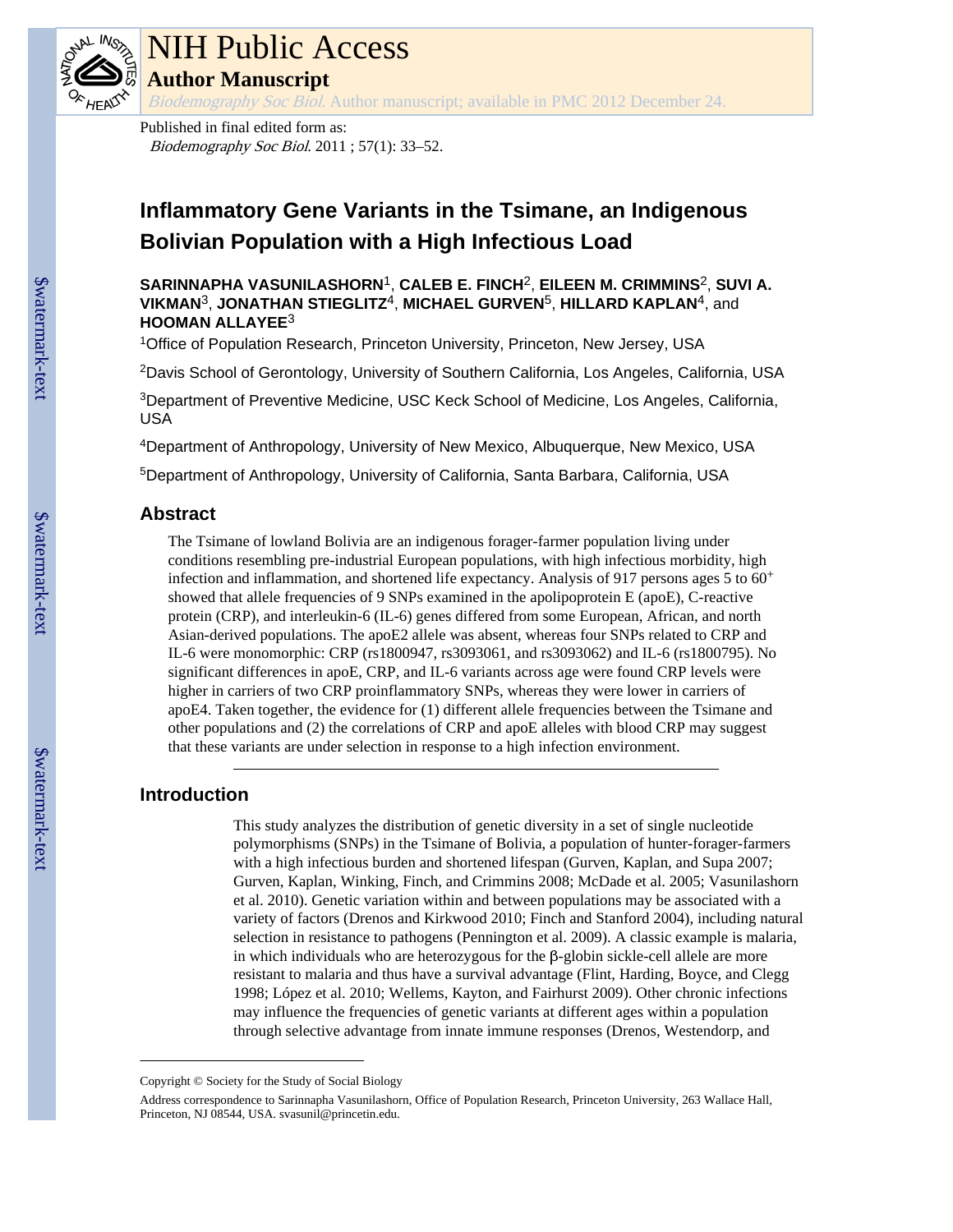

# NIH Public Access

**Author Manuscript**

Biodemography Soc Biol. Author manuscript; available in PMC 2012 December 24.

Published in final edited form as: Biodemography Soc Biol. 2011 ; 57(1): 33–52.

# **Inflammatory Gene Variants in the Tsimane, an Indigenous Bolivian Population with a High Infectious Load**

**SARINNAPHA VASUNILASHORN**1, **CALEB E. FINCH**2, **EILEEN M. CRIMMINS**2, **SUVI A. VIKMAN**3, **JONATHAN STIEGLITZ**4, **MICHAEL GURVEN**5, **HILLARD KAPLAN**4, and **HOOMAN ALLAYEE**<sup>3</sup>

<sup>1</sup>Office of Population Research, Princeton University, Princeton, New Jersey, USA

<sup>2</sup>Davis School of Gerontology, University of Southern California, Los Angeles, California, USA

<sup>3</sup>Department of Preventive Medicine, USC Keck School of Medicine, Los Angeles, California, USA

<sup>4</sup>Department of Anthropology, University of New Mexico, Albuquerque, New Mexico, USA

<sup>5</sup>Department of Anthropology, University of California, Santa Barbara, California, USA

## **Abstract**

The Tsimane of lowland Bolivia are an indigenous forager-farmer population living under conditions resembling pre-industrial European populations, with high infectious morbidity, high infection and inflammation, and shortened life expectancy. Analysis of 917 persons ages 5 to  $60<sup>+</sup>$ showed that allele frequencies of 9 SNPs examined in the apolipoprotein E (apoE), C-reactive protein (CRP), and interleukin-6 (IL-6) genes differed from some European, African, and north Asian-derived populations. The apoE2 allele was absent, whereas four SNPs related to CRP and IL-6 were monomorphic: CRP (rs1800947, rs3093061, and rs3093062) and IL-6 (rs1800795). No significant differences in apoE, CRP, and IL-6 variants across age were found CRP levels were higher in carriers of two CRP proinflammatory SNPs, whereas they were lower in carriers of apoE4. Taken together, the evidence for (1) different allele frequencies between the Tsimane and other populations and (2) the correlations of CRP and apoE alleles with blood CRP may suggest that these variants are under selection in response to a high infection environment.

## **Introduction**

This study analyzes the distribution of genetic diversity in a set of single nucleotide polymorphisms (SNPs) in the Tsimane of Bolivia, a population of hunter-forager-farmers with a high infectious burden and shortened lifespan (Gurven, Kaplan, and Supa 2007; Gurven, Kaplan, Winking, Finch, and Crimmins 2008; McDade et al. 2005; Vasunilashorn et al. 2010). Genetic variation within and between populations may be associated with a variety of factors (Drenos and Kirkwood 2010; Finch and Stanford 2004), including natural selection in resistance to pathogens (Pennington et al. 2009). A classic example is malaria, in which individuals who are heterozygous for the  $\beta$ -globin sickle-cell allele are more resistant to malaria and thus have a survival advantage (Flint, Harding, Boyce, and Clegg 1998; López et al. 2010; Wellems, Kayton, and Fairhurst 2009). Other chronic infections may influence the frequencies of genetic variants at different ages within a population through selective advantage from innate immune responses (Drenos, Westendorp, and

Copyright © Society for the Study of Social Biology

Address correspondence to Sarinnapha Vasunilashorn, Office of Population Research, Princeton University, 263 Wallace Hall, Princeton, NJ 08544, USA. svasunil@princetin.edu.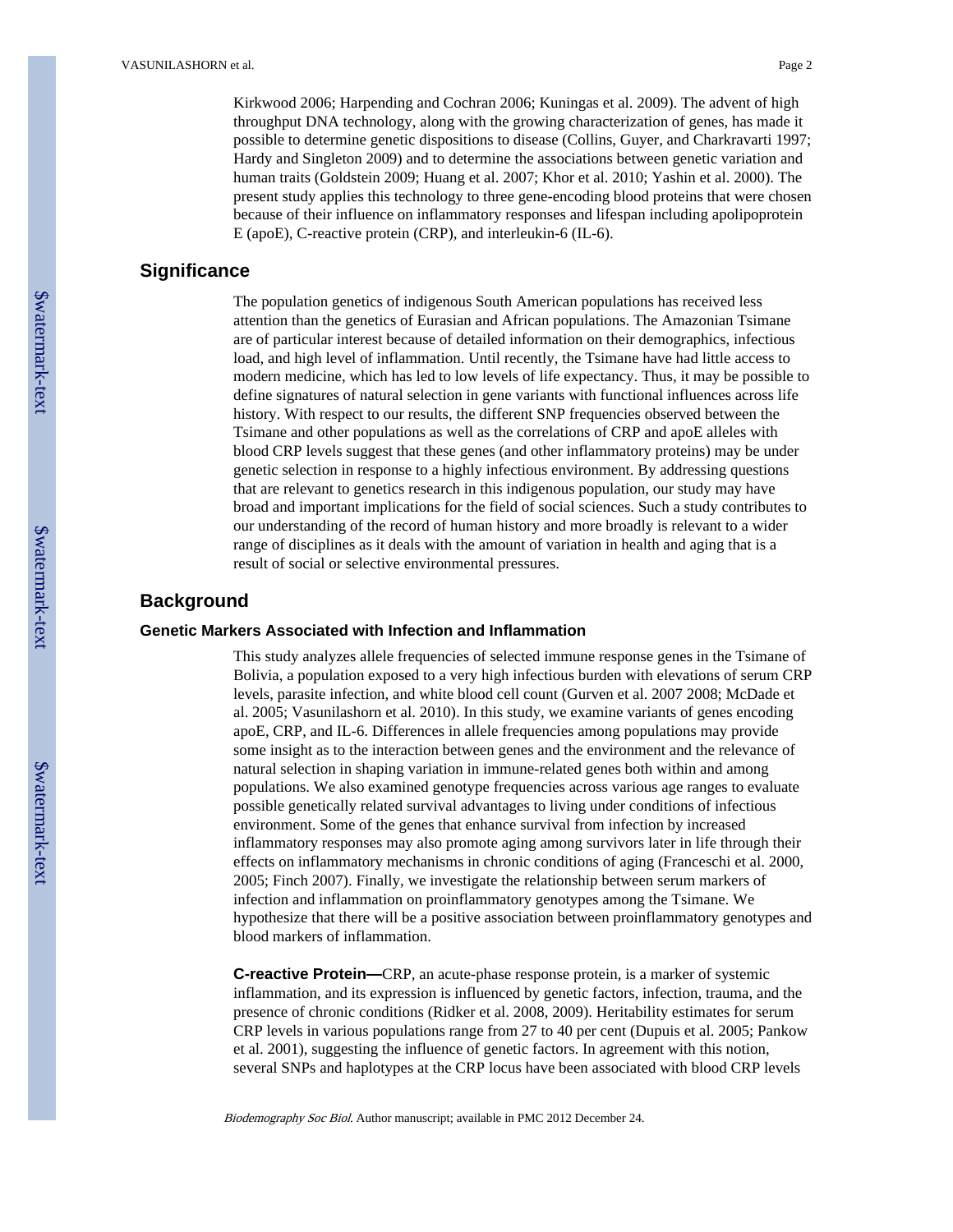Kirkwood 2006; Harpending and Cochran 2006; Kuningas et al. 2009). The advent of high throughput DNA technology, along with the growing characterization of genes, has made it possible to determine genetic dispositions to disease (Collins, Guyer, and Charkravarti 1997; Hardy and Singleton 2009) and to determine the associations between genetic variation and human traits (Goldstein 2009; Huang et al. 2007; Khor et al. 2010; Yashin et al. 2000). The present study applies this technology to three gene-encoding blood proteins that were chosen because of their influence on inflammatory responses and lifespan including apolipoprotein E (apoE), C-reactive protein (CRP), and interleukin-6 (IL-6).

## **Significance**

The population genetics of indigenous South American populations has received less attention than the genetics of Eurasian and African populations. The Amazonian Tsimane are of particular interest because of detailed information on their demographics, infectious load, and high level of inflammation. Until recently, the Tsimane have had little access to modern medicine, which has led to low levels of life expectancy. Thus, it may be possible to define signatures of natural selection in gene variants with functional influences across life history. With respect to our results, the different SNP frequencies observed between the Tsimane and other populations as well as the correlations of CRP and apoE alleles with blood CRP levels suggest that these genes (and other inflammatory proteins) may be under genetic selection in response to a highly infectious environment. By addressing questions that are relevant to genetics research in this indigenous population, our study may have broad and important implications for the field of social sciences. Such a study contributes to our understanding of the record of human history and more broadly is relevant to a wider range of disciplines as it deals with the amount of variation in health and aging that is a result of social or selective environmental pressures.

## **Background**

## **Genetic Markers Associated with Infection and Inflammation**

This study analyzes allele frequencies of selected immune response genes in the Tsimane of Bolivia, a population exposed to a very high infectious burden with elevations of serum CRP levels, parasite infection, and white blood cell count (Gurven et al. 2007 2008; McDade et al. 2005; Vasunilashorn et al. 2010). In this study, we examine variants of genes encoding apoE, CRP, and IL-6. Differences in allele frequencies among populations may provide some insight as to the interaction between genes and the environment and the relevance of natural selection in shaping variation in immune-related genes both within and among populations. We also examined genotype frequencies across various age ranges to evaluate possible genetically related survival advantages to living under conditions of infectious environment. Some of the genes that enhance survival from infection by increased inflammatory responses may also promote aging among survivors later in life through their effects on inflammatory mechanisms in chronic conditions of aging (Franceschi et al. 2000, 2005; Finch 2007). Finally, we investigate the relationship between serum markers of infection and inflammation on proinflammatory genotypes among the Tsimane. We hypothesize that there will be a positive association between proinflammatory genotypes and blood markers of inflammation.

**C-reactive Protein—**CRP, an acute-phase response protein, is a marker of systemic inflammation, and its expression is influenced by genetic factors, infection, trauma, and the presence of chronic conditions (Ridker et al. 2008, 2009). Heritability estimates for serum CRP levels in various populations range from 27 to 40 per cent (Dupuis et al. 2005; Pankow et al. 2001), suggesting the influence of genetic factors. In agreement with this notion, several SNPs and haplotypes at the CRP locus have been associated with blood CRP levels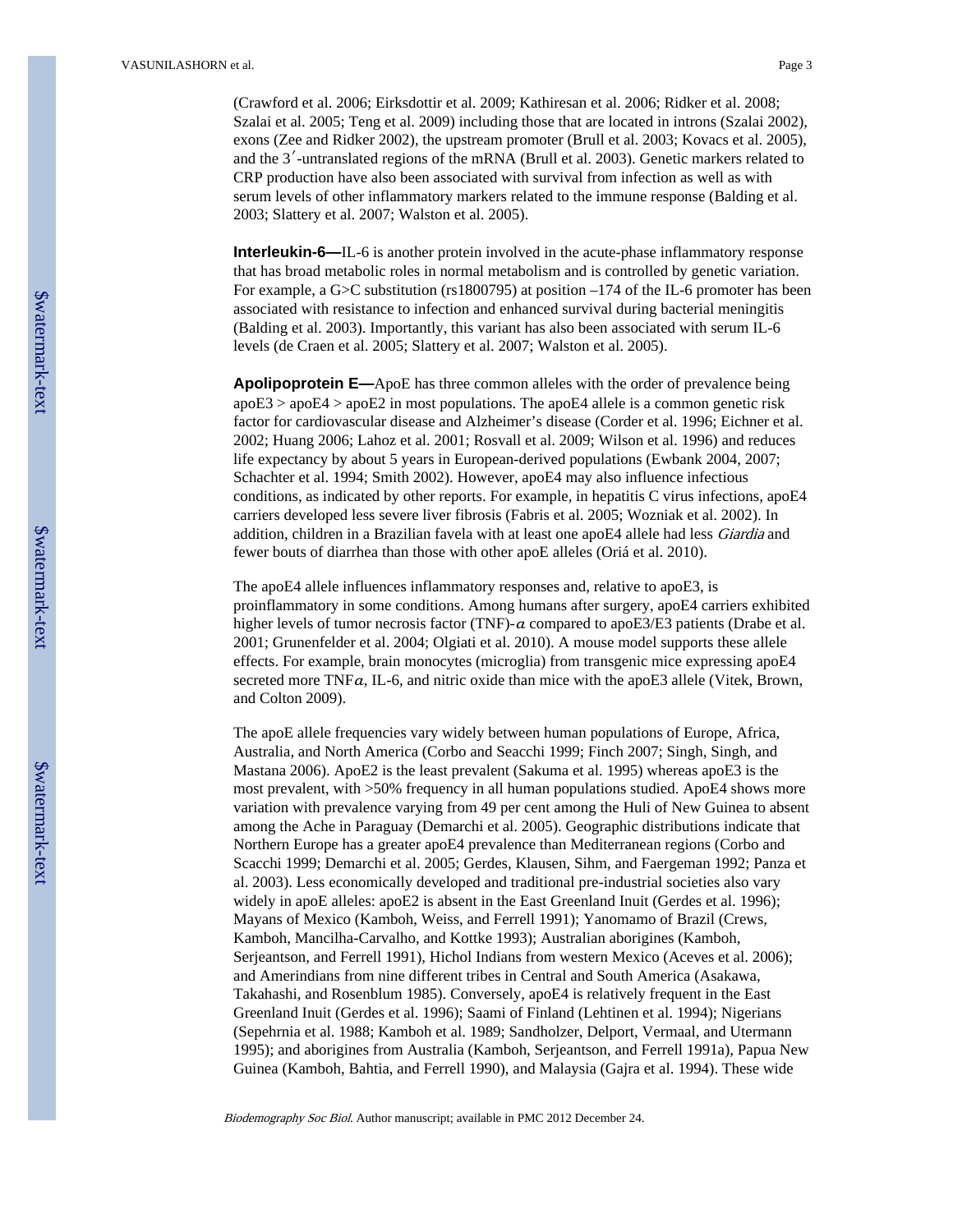(Crawford et al. 2006; Eirksdottir et al. 2009; Kathiresan et al. 2006; Ridker et al. 2008; Szalai et al. 2005; Teng et al. 2009) including those that are located in introns (Szalai 2002), exons (Zee and Ridker 2002), the upstream promoter (Brull et al. 2003; Kovacs et al. 2005), and the 3′-untranslated regions of the mRNA (Brull et al. 2003). Genetic markers related to CRP production have also been associated with survival from infection as well as with serum levels of other inflammatory markers related to the immune response (Balding et al. 2003; Slattery et al. 2007; Walston et al. 2005).

**Interleukin-6—IL**-6 is another protein involved in the acute-phase inflammatory response that has broad metabolic roles in normal metabolism and is controlled by genetic variation. For example, a G>C substitution (rs1800795) at position –174 of the IL-6 promoter has been associated with resistance to infection and enhanced survival during bacterial meningitis (Balding et al. 2003). Importantly, this variant has also been associated with serum IL-6 levels (de Craen et al. 2005; Slattery et al. 2007; Walston et al. 2005).

**Apolipoprotein E—**ApoE has three common alleles with the order of prevalence being apoE3 > apoE4 > apoE2 in most populations. The apoE4 allele is a common genetic risk factor for cardiovascular disease and Alzheimer's disease (Corder et al. 1996; Eichner et al. 2002; Huang 2006; Lahoz et al. 2001; Rosvall et al. 2009; Wilson et al. 1996) and reduces life expectancy by about 5 years in European-derived populations (Ewbank 2004, 2007; Schachter et al. 1994; Smith 2002). However, apoE4 may also influence infectious conditions, as indicated by other reports. For example, in hepatitis C virus infections, apoE4 carriers developed less severe liver fibrosis (Fabris et al. 2005; Wozniak et al. 2002). In addition, children in a Brazilian favela with at least one apoE4 allele had less *Giardia* and fewer bouts of diarrhea than those with other apoE alleles (Oriá et al. 2010).

The apoE4 allele influences inflammatory responses and, relative to apoE3, is proinflammatory in some conditions. Among humans after surgery, apoE4 carriers exhibited higher levels of tumor necrosis factor (TNF)-α compared to apoE3/E3 patients (Drabe et al. 2001; Grunenfelder et al. 2004; Olgiati et al. 2010). A mouse model supports these allele effects. For example, brain monocytes (microglia) from transgenic mice expressing apoE4 secreted more TNFa, IL-6, and nitric oxide than mice with the apoE3 allele (Vitek, Brown, and Colton 2009).

The apoE allele frequencies vary widely between human populations of Europe, Africa, Australia, and North America (Corbo and Seacchi 1999; Finch 2007; Singh, Singh, and Mastana 2006). ApoE2 is the least prevalent (Sakuma et al. 1995) whereas apoE3 is the most prevalent, with >50% frequency in all human populations studied. ApoE4 shows more variation with prevalence varying from 49 per cent among the Huli of New Guinea to absent among the Ache in Paraguay (Demarchi et al. 2005). Geographic distributions indicate that Northern Europe has a greater apoE4 prevalence than Mediterranean regions (Corbo and Scacchi 1999; Demarchi et al. 2005; Gerdes, Klausen, Sihm, and Faergeman 1992; Panza et al. 2003). Less economically developed and traditional pre-industrial societies also vary widely in apoE alleles: apoE2 is absent in the East Greenland Inuit (Gerdes et al. 1996); Mayans of Mexico (Kamboh, Weiss, and Ferrell 1991); Yanomamo of Brazil (Crews, Kamboh, Mancilha-Carvalho, and Kottke 1993); Australian aborigines (Kamboh, Serjeantson, and Ferrell 1991), Hichol Indians from western Mexico (Aceves et al. 2006); and Amerindians from nine different tribes in Central and South America (Asakawa, Takahashi, and Rosenblum 1985). Conversely, apoE4 is relatively frequent in the East Greenland Inuit (Gerdes et al. 1996); Saami of Finland (Lehtinen et al. 1994); Nigerians (Sepehrnia et al. 1988; Kamboh et al. 1989; Sandholzer, Delport, Vermaal, and Utermann 1995); and aborigines from Australia (Kamboh, Serjeantson, and Ferrell 1991a), Papua New Guinea (Kamboh, Bahtia, and Ferrell 1990), and Malaysia (Gajra et al. 1994). These wide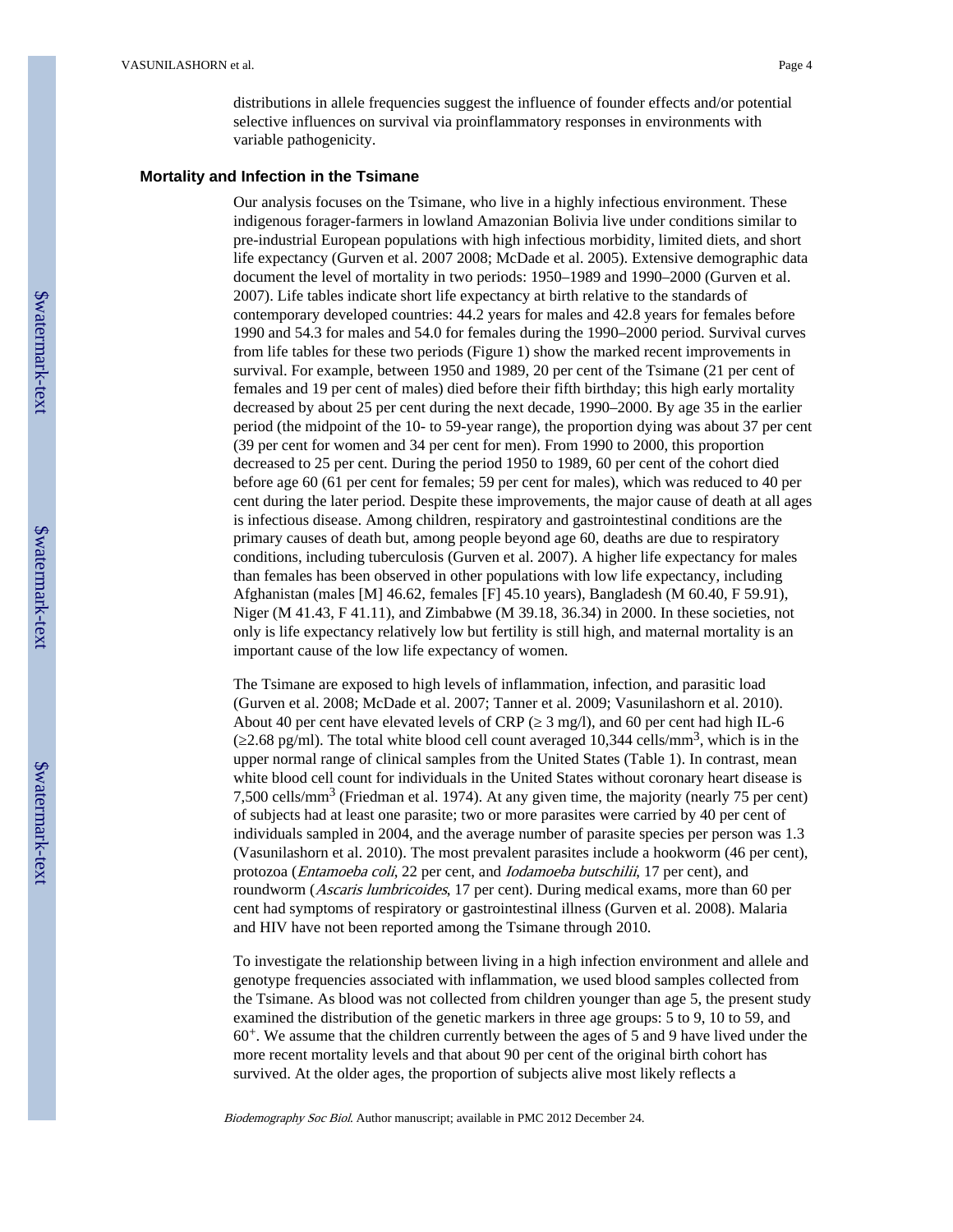distributions in allele frequencies suggest the influence of founder effects and/or potential selective influences on survival via proinflammatory responses in environments with variable pathogenicity.

## **Mortality and Infection in the Tsimane**

Our analysis focuses on the Tsimane, who live in a highly infectious environment. These indigenous forager-farmers in lowland Amazonian Bolivia live under conditions similar to pre-industrial European populations with high infectious morbidity, limited diets, and short life expectancy (Gurven et al. 2007 2008; McDade et al. 2005). Extensive demographic data document the level of mortality in two periods: 1950–1989 and 1990–2000 (Gurven et al. 2007). Life tables indicate short life expectancy at birth relative to the standards of contemporary developed countries: 44.2 years for males and 42.8 years for females before 1990 and 54.3 for males and 54.0 for females during the 1990–2000 period. Survival curves from life tables for these two periods (Figure 1) show the marked recent improvements in survival. For example, between 1950 and 1989, 20 per cent of the Tsimane (21 per cent of females and 19 per cent of males) died before their fifth birthday; this high early mortality decreased by about 25 per cent during the next decade, 1990–2000. By age 35 in the earlier period (the midpoint of the 10- to 59-year range), the proportion dying was about 37 per cent (39 per cent for women and 34 per cent for men). From 1990 to 2000, this proportion decreased to 25 per cent. During the period 1950 to 1989, 60 per cent of the cohort died before age 60 (61 per cent for females; 59 per cent for males), which was reduced to 40 per cent during the later period. Despite these improvements, the major cause of death at all ages is infectious disease. Among children, respiratory and gastrointestinal conditions are the primary causes of death but, among people beyond age 60, deaths are due to respiratory conditions, including tuberculosis (Gurven et al. 2007). A higher life expectancy for males than females has been observed in other populations with low life expectancy, including Afghanistan (males [M] 46.62, females [F] 45.10 years), Bangladesh (M 60.40, F 59.91), Niger (M 41.43, F 41.11), and Zimbabwe (M 39.18, 36.34) in 2000. In these societies, not only is life expectancy relatively low but fertility is still high, and maternal mortality is an important cause of the low life expectancy of women.

The Tsimane are exposed to high levels of inflammation, infection, and parasitic load (Gurven et al. 2008; McDade et al. 2007; Tanner et al. 2009; Vasunilashorn et al. 2010). About 40 per cent have elevated levels of CRP  $(3 \text{ mg/l})$ , and 60 per cent had high IL-6  $(2.68 \text{ pg/ml})$ . The total white blood cell count averaged 10,344 cells/mm<sup>3</sup>, which is in the upper normal range of clinical samples from the United States (Table 1). In contrast, mean white blood cell count for individuals in the United States without coronary heart disease is 7,500 cells/mm<sup>3</sup> (Friedman et al. 1974). At any given time, the majority (nearly 75 per cent) of subjects had at least one parasite; two or more parasites were carried by 40 per cent of individuals sampled in 2004, and the average number of parasite species per person was 1.3 (Vasunilashorn et al. 2010). The most prevalent parasites include a hookworm (46 per cent), protozoa (Entamoeba coli, 22 per cent, and Iodamoeba butschilii, 17 per cent), and roundworm (Ascaris lumbricoides, 17 per cent). During medical exams, more than 60 per cent had symptoms of respiratory or gastrointestinal illness (Gurven et al. 2008). Malaria and HIV have not been reported among the Tsimane through 2010.

To investigate the relationship between living in a high infection environment and allele and genotype frequencies associated with inflammation, we used blood samples collected from the Tsimane. As blood was not collected from children younger than age 5, the present study examined the distribution of the genetic markers in three age groups: 5 to 9, 10 to 59, and  $60<sup>+</sup>$ . We assume that the children currently between the ages of 5 and 9 have lived under the more recent mortality levels and that about 90 per cent of the original birth cohort has survived. At the older ages, the proportion of subjects alive most likely reflects a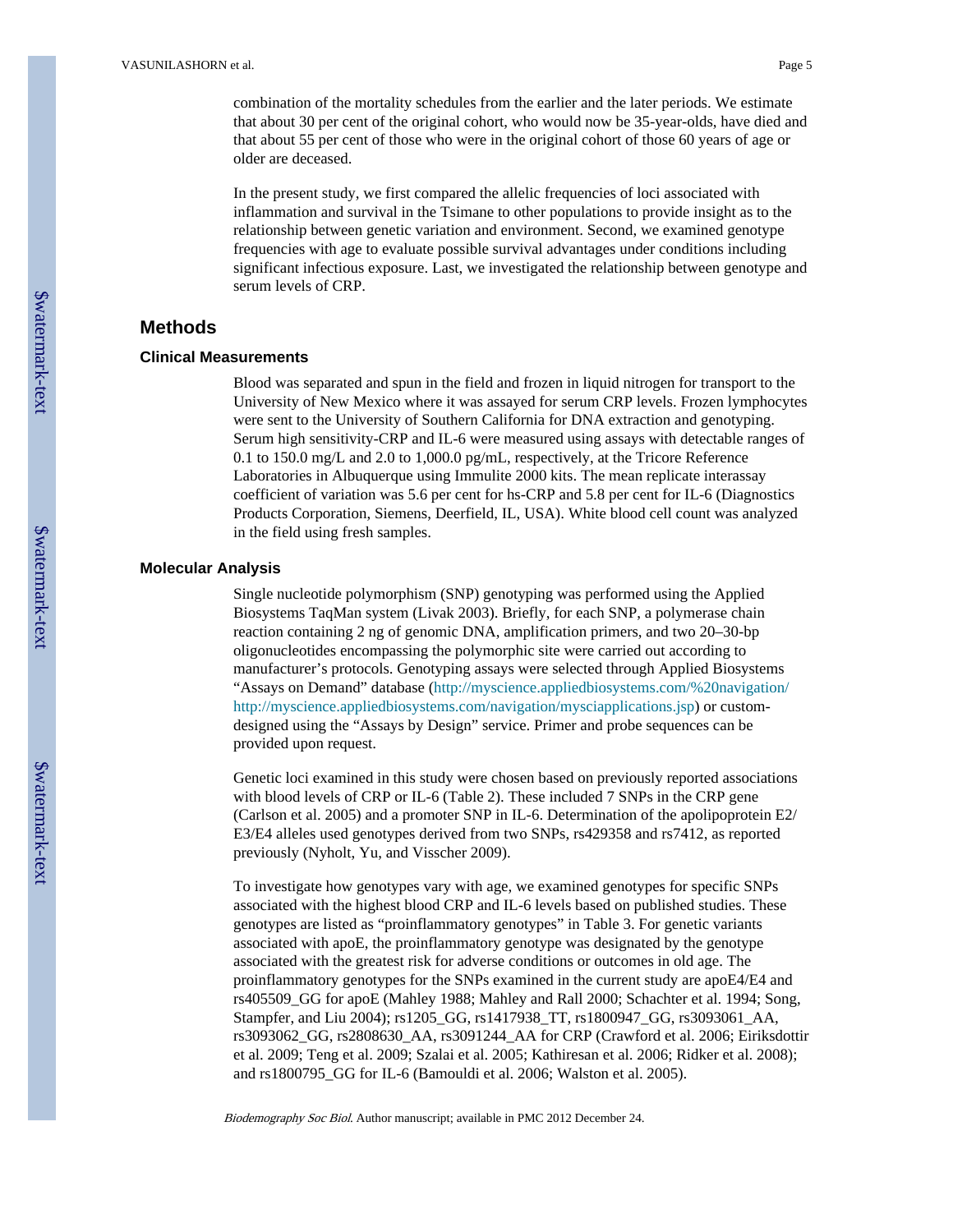combination of the mortality schedules from the earlier and the later periods. We estimate that about 30 per cent of the original cohort, who would now be 35-year-olds, have died and that about 55 per cent of those who were in the original cohort of those 60 years of age or older are deceased.

In the present study, we first compared the allelic frequencies of loci associated with inflammation and survival in the Tsimane to other populations to provide insight as to the relationship between genetic variation and environment. Second, we examined genotype frequencies with age to evaluate possible survival advantages under conditions including significant infectious exposure. Last, we investigated the relationship between genotype and serum levels of CRP.

## **Methods**

## **Clinical Measurements**

Blood was separated and spun in the field and frozen in liquid nitrogen for transport to the University of New Mexico where it was assayed for serum CRP levels. Frozen lymphocytes were sent to the University of Southern California for DNA extraction and genotyping. Serum high sensitivity-CRP and IL-6 were measured using assays with detectable ranges of 0.1 to 150.0 mg/L and 2.0 to 1,000.0 pg/mL, respectively, at the Tricore Reference Laboratories in Albuquerque using Immulite 2000 kits. The mean replicate interassay coefficient of variation was 5.6 per cent for hs-CRP and 5.8 per cent for IL-6 (Diagnostics Products Corporation, Siemens, Deerfield, IL, USA). White blood cell count was analyzed in the field using fresh samples.

## **Molecular Analysis**

Single nucleotide polymorphism (SNP) genotyping was performed using the Applied Biosystems TaqMan system (Livak 2003). Briefly, for each SNP, a polymerase chain reaction containing 2 ng of genomic DNA, amplification primers, and two 20–30-bp oligonucleotides encompassing the polymorphic site were carried out according to manufacturer's protocols. Genotyping assays were selected through Applied Biosystems "Assays on Demand" database ([http://myscience.appliedbiosystems.com/%20navigation/](http://myscience.appliedbiosystems.com/%20navigation/http://myscience.appliedbiosystems.com/navigation/mysciapplications.jsp) [http://myscience.appliedbiosystems.com/navigation/mysciapplications.jsp](http://myscience.appliedbiosystems.com/%20navigation/http://myscience.appliedbiosystems.com/navigation/mysciapplications.jsp)) or customdesigned using the "Assays by Design" service. Primer and probe sequences can be provided upon request.

Genetic loci examined in this study were chosen based on previously reported associations with blood levels of CRP or IL-6 (Table 2). These included 7 SNPs in the CRP gene (Carlson et al. 2005) and a promoter SNP in IL-6. Determination of the apolipoprotein E2/ E3/E4 alleles used genotypes derived from two SNPs, rs429358 and rs7412, as reported previously (Nyholt, Yu, and Visscher 2009).

To investigate how genotypes vary with age, we examined genotypes for specific SNPs associated with the highest blood CRP and IL-6 levels based on published studies. These genotypes are listed as "proinflammatory genotypes" in Table 3. For genetic variants associated with apoE, the proinflammatory genotype was designated by the genotype associated with the greatest risk for adverse conditions or outcomes in old age. The proinflammatory genotypes for the SNPs examined in the current study are apoE4/E4 and rs405509\_GG for apoE (Mahley 1988; Mahley and Rall 2000; Schachter et al. 1994; Song, Stampfer, and Liu 2004); rs1205\_GG, rs1417938\_TT, rs1800947\_GG, rs3093061\_AA, rs3093062\_GG, rs2808630\_AA, rs3091244\_AA for CRP (Crawford et al. 2006; Eiriksdottir et al. 2009; Teng et al. 2009; Szalai et al. 2005; Kathiresan et al. 2006; Ridker et al. 2008); and rs1800795\_GG for IL-6 (Bamouldi et al. 2006; Walston et al. 2005).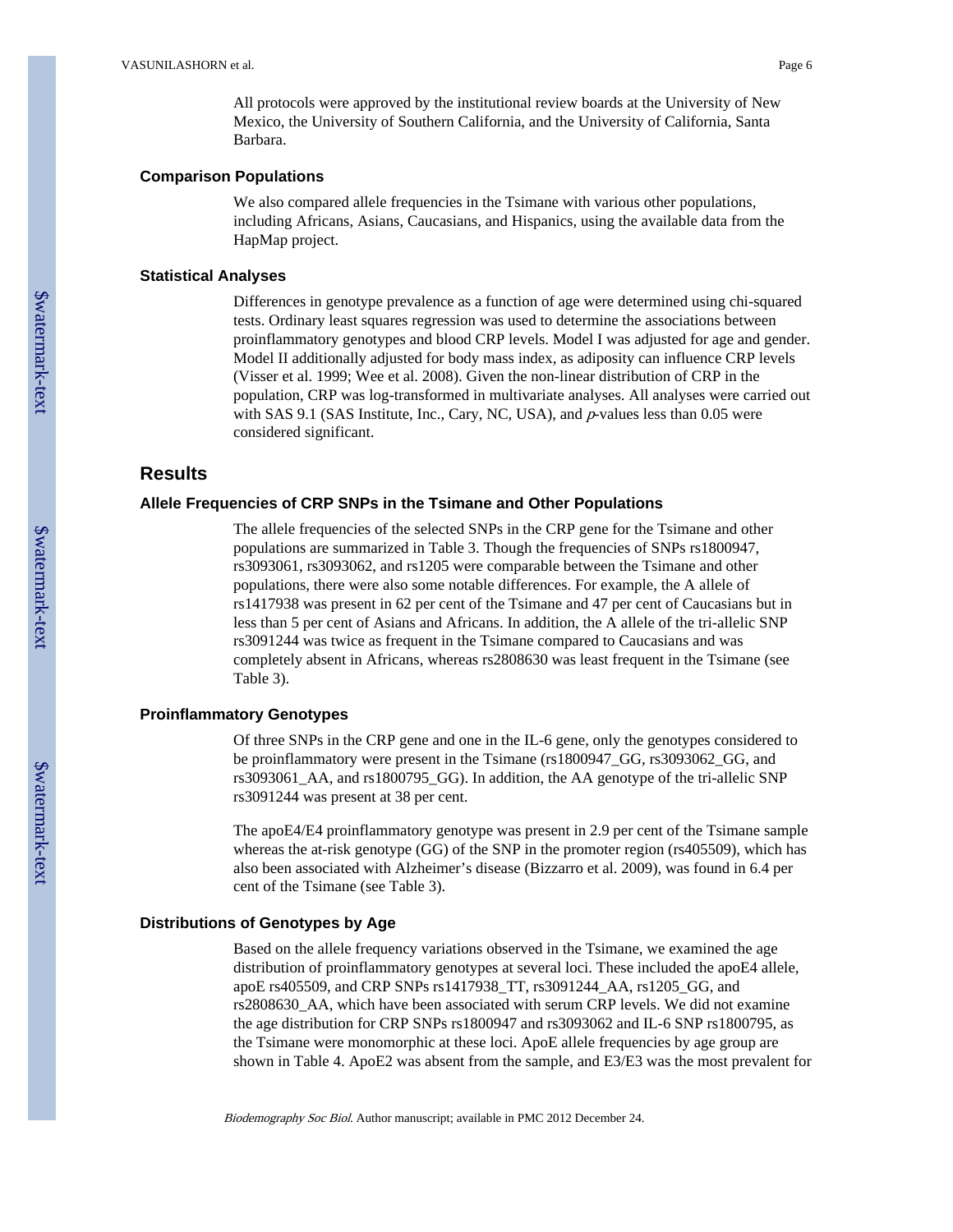## **Comparison Populations**

We also compared allele frequencies in the Tsimane with various other populations, including Africans, Asians, Caucasians, and Hispanics, using the available data from the HapMap project.

## **Statistical Analyses**

Differences in genotype prevalence as a function of age were determined using chi-squared tests. Ordinary least squares regression was used to determine the associations between proinflammatory genotypes and blood CRP levels. Model I was adjusted for age and gender. Model II additionally adjusted for body mass index, as adiposity can influence CRP levels (Visser et al. 1999; Wee et al. 2008). Given the non-linear distribution of CRP in the population, CRP was log-transformed in multivariate analyses. All analyses were carried out with SAS 9.1 (SAS Institute, Inc., Cary, NC, USA), and  $p$ -values less than 0.05 were considered significant.

## **Results**

## **Allele Frequencies of CRP SNPs in the Tsimane and Other Populations**

The allele frequencies of the selected SNPs in the CRP gene for the Tsimane and other populations are summarized in Table 3. Though the frequencies of SNPs rs1800947, rs3093061, rs3093062, and rs1205 were comparable between the Tsimane and other populations, there were also some notable differences. For example, the A allele of rs1417938 was present in 62 per cent of the Tsimane and 47 per cent of Caucasians but in less than 5 per cent of Asians and Africans. In addition, the A allele of the tri-allelic SNP rs3091244 was twice as frequent in the Tsimane compared to Caucasians and was completely absent in Africans, whereas rs2808630 was least frequent in the Tsimane (see Table 3).

## **Proinflammatory Genotypes**

Of three SNPs in the CRP gene and one in the IL-6 gene, only the genotypes considered to be proinflammatory were present in the Tsimane (rs1800947\_GG, rs3093062\_GG, and rs3093061\_AA, and rs1800795\_GG). In addition, the AA genotype of the tri-allelic SNP rs3091244 was present at 38 per cent.

The apoE4/E4 proinflammatory genotype was present in 2.9 per cent of the Tsimane sample whereas the at-risk genotype (GG) of the SNP in the promoter region (rs405509), which has also been associated with Alzheimer's disease (Bizzarro et al. 2009), was found in 6.4 per cent of the Tsimane (see Table 3).

## **Distributions of Genotypes by Age**

Based on the allele frequency variations observed in the Tsimane, we examined the age distribution of proinflammatory genotypes at several loci. These included the apoE4 allele, apoE rs405509, and CRP SNPs rs1417938\_TT, rs3091244\_AA, rs1205\_GG, and rs2808630 AA, which have been associated with serum CRP levels. We did not examine the age distribution for CRP SNPs rs1800947 and rs3093062 and IL-6 SNP rs1800795, as the Tsimane were monomorphic at these loci. ApoE allele frequencies by age group are shown in Table 4. ApoE2 was absent from the sample, and E3/E3 was the most prevalent for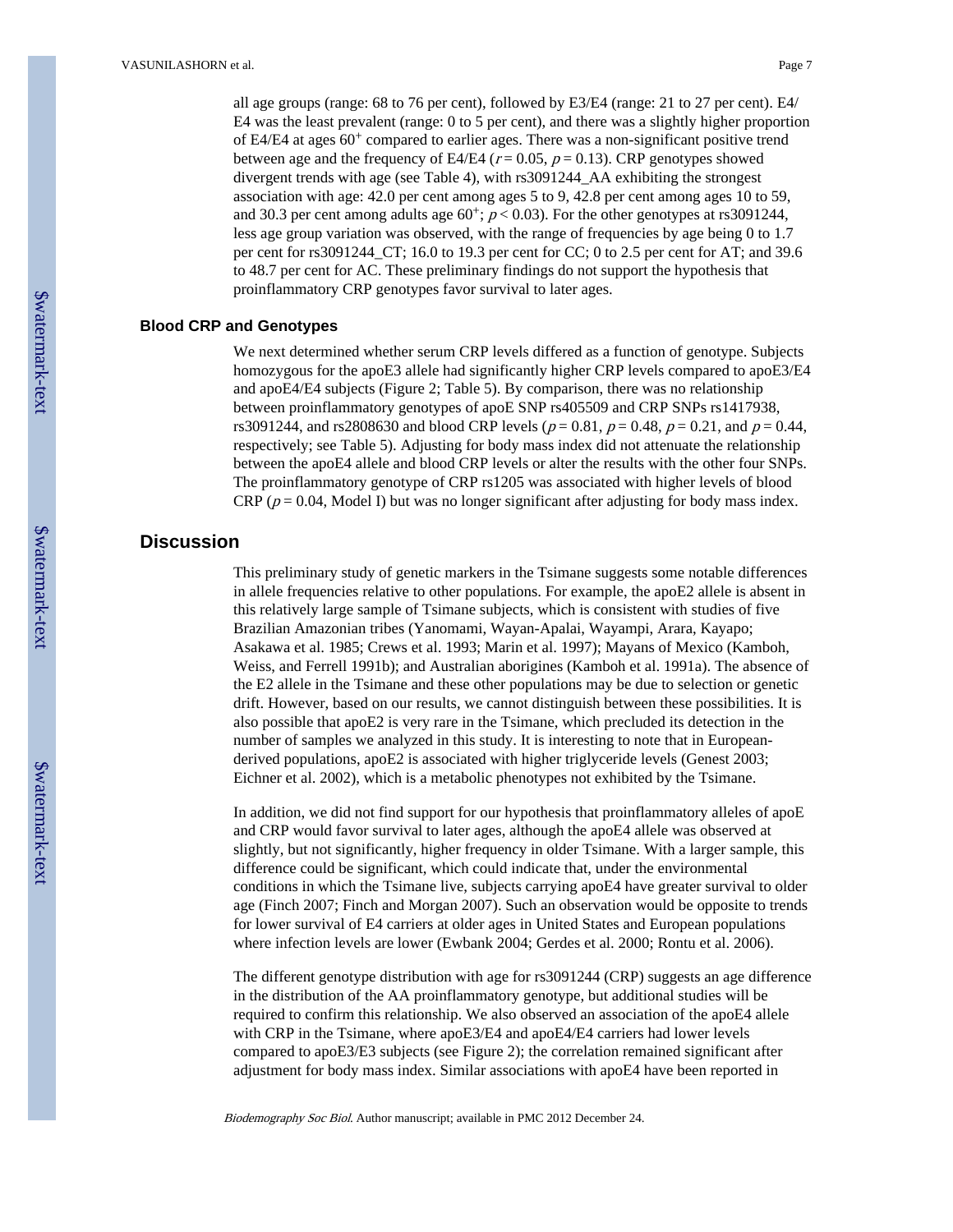all age groups (range: 68 to 76 per cent), followed by E3/E4 (range: 21 to 27 per cent). E4/ E4 was the least prevalent (range: 0 to 5 per cent), and there was a slightly higher proportion of E4/E4 at ages 60<sup>+</sup> compared to earlier ages. There was a non-significant positive trend between age and the frequency of E4/E4 ( $r = 0.05$ ,  $p = 0.13$ ). CRP genotypes showed divergent trends with age (see Table 4), with rs3091244\_AA exhibiting the strongest association with age: 42.0 per cent among ages 5 to 9, 42.8 per cent among ages 10 to 59, and 30.3 per cent among adults age  $60^+$ ;  $p < 0.03$ ). For the other genotypes at rs3091244, less age group variation was observed, with the range of frequencies by age being 0 to 1.7 per cent for rs3091244\_CT; 16.0 to 19.3 per cent for CC; 0 to 2.5 per cent for AT; and 39.6 to 48.7 per cent for AC. These preliminary findings do not support the hypothesis that proinflammatory CRP genotypes favor survival to later ages.

## **Blood CRP and Genotypes**

We next determined whether serum CRP levels differed as a function of genotype. Subjects homozygous for the apoE3 allele had significantly higher CRP levels compared to apoE3/E4 and apoE4/E4 subjects (Figure 2; Table 5). By comparison, there was no relationship between proinflammatory genotypes of apoE SNP rs405509 and CRP SNPs rs1417938, rs3091244, and rs2808630 and blood CRP levels ( $p = 0.81$ ,  $p = 0.48$ ,  $p = 0.21$ , and  $p = 0.44$ , respectively; see Table 5). Adjusting for body mass index did not attenuate the relationship between the apoE4 allele and blood CRP levels or alter the results with the other four SNPs. The proinflammatory genotype of CRP rs1205 was associated with higher levels of blood CRP ( $p = 0.04$ , Model I) but was no longer significant after adjusting for body mass index.

## **Discussion**

This preliminary study of genetic markers in the Tsimane suggests some notable differences in allele frequencies relative to other populations. For example, the apoE2 allele is absent in this relatively large sample of Tsimane subjects, which is consistent with studies of five Brazilian Amazonian tribes (Yanomami, Wayan-Apalai, Wayampi, Arara, Kayapo; Asakawa et al. 1985; Crews et al. 1993; Marin et al. 1997); Mayans of Mexico (Kamboh, Weiss, and Ferrell 1991b); and Australian aborigines (Kamboh et al. 1991a). The absence of the E2 allele in the Tsimane and these other populations may be due to selection or genetic drift. However, based on our results, we cannot distinguish between these possibilities. It is also possible that apoE2 is very rare in the Tsimane, which precluded its detection in the number of samples we analyzed in this study. It is interesting to note that in Europeanderived populations, apoE2 is associated with higher triglyceride levels (Genest 2003; Eichner et al. 2002), which is a metabolic phenotypes not exhibited by the Tsimane.

In addition, we did not find support for our hypothesis that proinflammatory alleles of apoE and CRP would favor survival to later ages, although the apoE4 allele was observed at slightly, but not significantly, higher frequency in older Tsimane. With a larger sample, this difference could be significant, which could indicate that, under the environmental conditions in which the Tsimane live, subjects carrying apoE4 have greater survival to older age (Finch 2007; Finch and Morgan 2007). Such an observation would be opposite to trends for lower survival of E4 carriers at older ages in United States and European populations where infection levels are lower (Ewbank 2004; Gerdes et al. 2000; Rontu et al. 2006).

The different genotype distribution with age for rs3091244 (CRP) suggests an age difference in the distribution of the AA proinflammatory genotype, but additional studies will be required to confirm this relationship. We also observed an association of the apoE4 allele with CRP in the Tsimane, where apoE3/E4 and apoE4/E4 carriers had lower levels compared to apoE3/E3 subjects (see Figure 2); the correlation remained significant after adjustment for body mass index. Similar associations with apoE4 have been reported in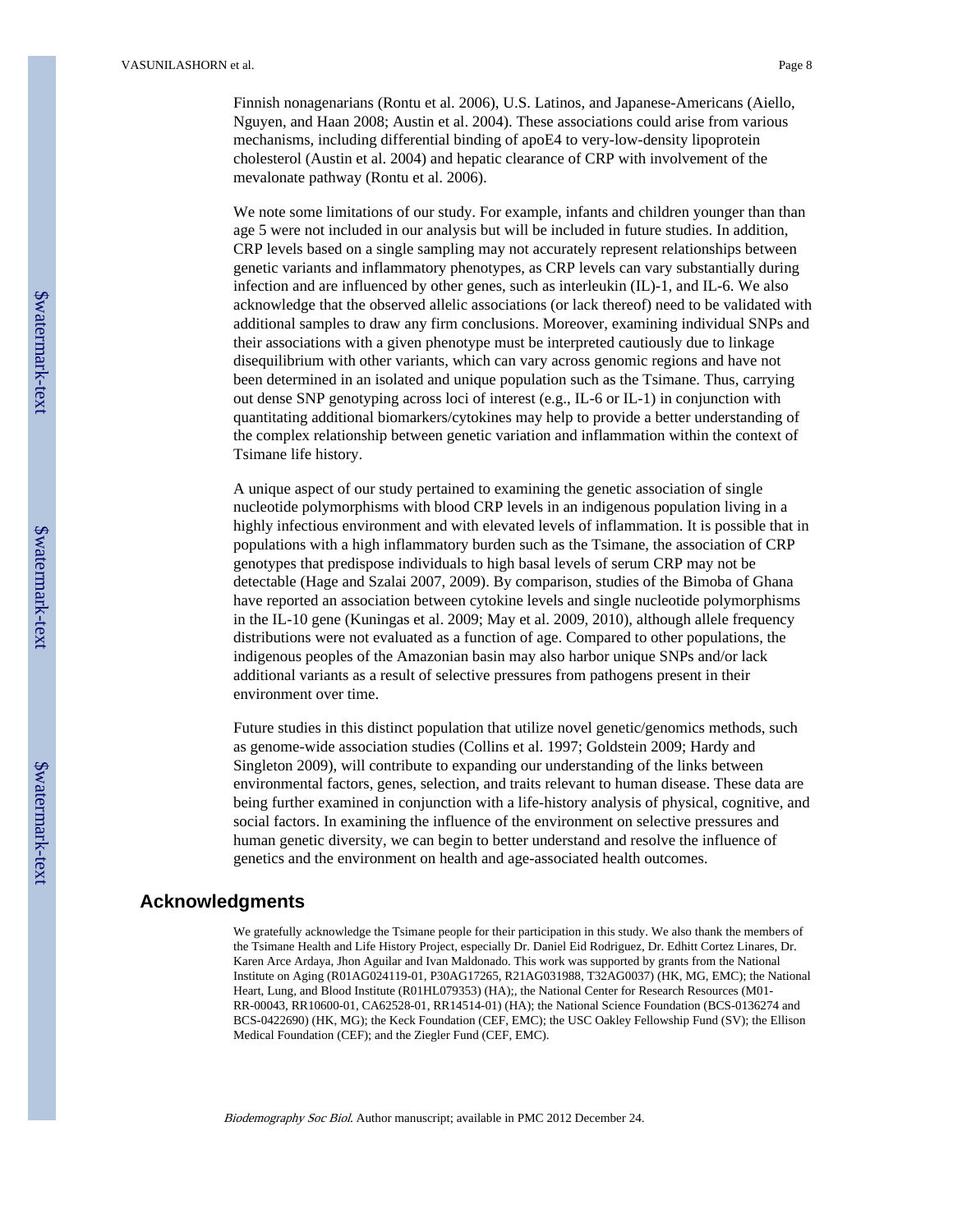Finnish nonagenarians (Rontu et al. 2006), U.S. Latinos, and Japanese-Americans (Aiello, Nguyen, and Haan 2008; Austin et al. 2004). These associations could arise from various mechanisms, including differential binding of apoE4 to very-low-density lipoprotein cholesterol (Austin et al. 2004) and hepatic clearance of CRP with involvement of the mevalonate pathway (Rontu et al. 2006).

We note some limitations of our study. For example, infants and children younger than than age 5 were not included in our analysis but will be included in future studies. In addition, CRP levels based on a single sampling may not accurately represent relationships between genetic variants and inflammatory phenotypes, as CRP levels can vary substantially during infection and are influenced by other genes, such as interleukin (IL)-1, and IL-6. We also acknowledge that the observed allelic associations (or lack thereof) need to be validated with additional samples to draw any firm conclusions. Moreover, examining individual SNPs and their associations with a given phenotype must be interpreted cautiously due to linkage disequilibrium with other variants, which can vary across genomic regions and have not been determined in an isolated and unique population such as the Tsimane. Thus, carrying out dense SNP genotyping across loci of interest (e.g., IL-6 or IL-1) in conjunction with quantitating additional biomarkers/cytokines may help to provide a better understanding of the complex relationship between genetic variation and inflammation within the context of Tsimane life history.

A unique aspect of our study pertained to examining the genetic association of single nucleotide polymorphisms with blood CRP levels in an indigenous population living in a highly infectious environment and with elevated levels of inflammation. It is possible that in populations with a high inflammatory burden such as the Tsimane, the association of CRP genotypes that predispose individuals to high basal levels of serum CRP may not be detectable (Hage and Szalai 2007, 2009). By comparison, studies of the Bimoba of Ghana have reported an association between cytokine levels and single nucleotide polymorphisms in the IL-10 gene (Kuningas et al. 2009; May et al. 2009, 2010), although allele frequency distributions were not evaluated as a function of age. Compared to other populations, the indigenous peoples of the Amazonian basin may also harbor unique SNPs and/or lack additional variants as a result of selective pressures from pathogens present in their environment over time.

Future studies in this distinct population that utilize novel genetic/genomics methods, such as genome-wide association studies (Collins et al. 1997; Goldstein 2009; Hardy and Singleton 2009), will contribute to expanding our understanding of the links between environmental factors, genes, selection, and traits relevant to human disease. These data are being further examined in conjunction with a life-history analysis of physical, cognitive, and social factors. In examining the influence of the environment on selective pressures and human genetic diversity, we can begin to better understand and resolve the influence of genetics and the environment on health and age-associated health outcomes.

## **Acknowledgments**

We gratefully acknowledge the Tsimane people for their participation in this study. We also thank the members of the Tsimane Health and Life History Project, especially Dr. Daniel Eid Rodriguez, Dr. Edhitt Cortez Linares, Dr. Karen Arce Ardaya, Jhon Aguilar and Ivan Maldonado. This work was supported by grants from the National Institute on Aging (R01AG024119-01, P30AG17265, R21AG031988, T32AG0037) (HK, MG, EMC); the National Heart, Lung, and Blood Institute (R01HL079353) (HA);, the National Center for Research Resources (M01- RR-00043, RR10600-01, CA62528-01, RR14514-01) (HA); the National Science Foundation (BCS-0136274 and BCS-0422690) (HK, MG); the Keck Foundation (CEF, EMC); the USC Oakley Fellowship Fund (SV); the Ellison Medical Foundation (CEF); and the Ziegler Fund (CEF, EMC).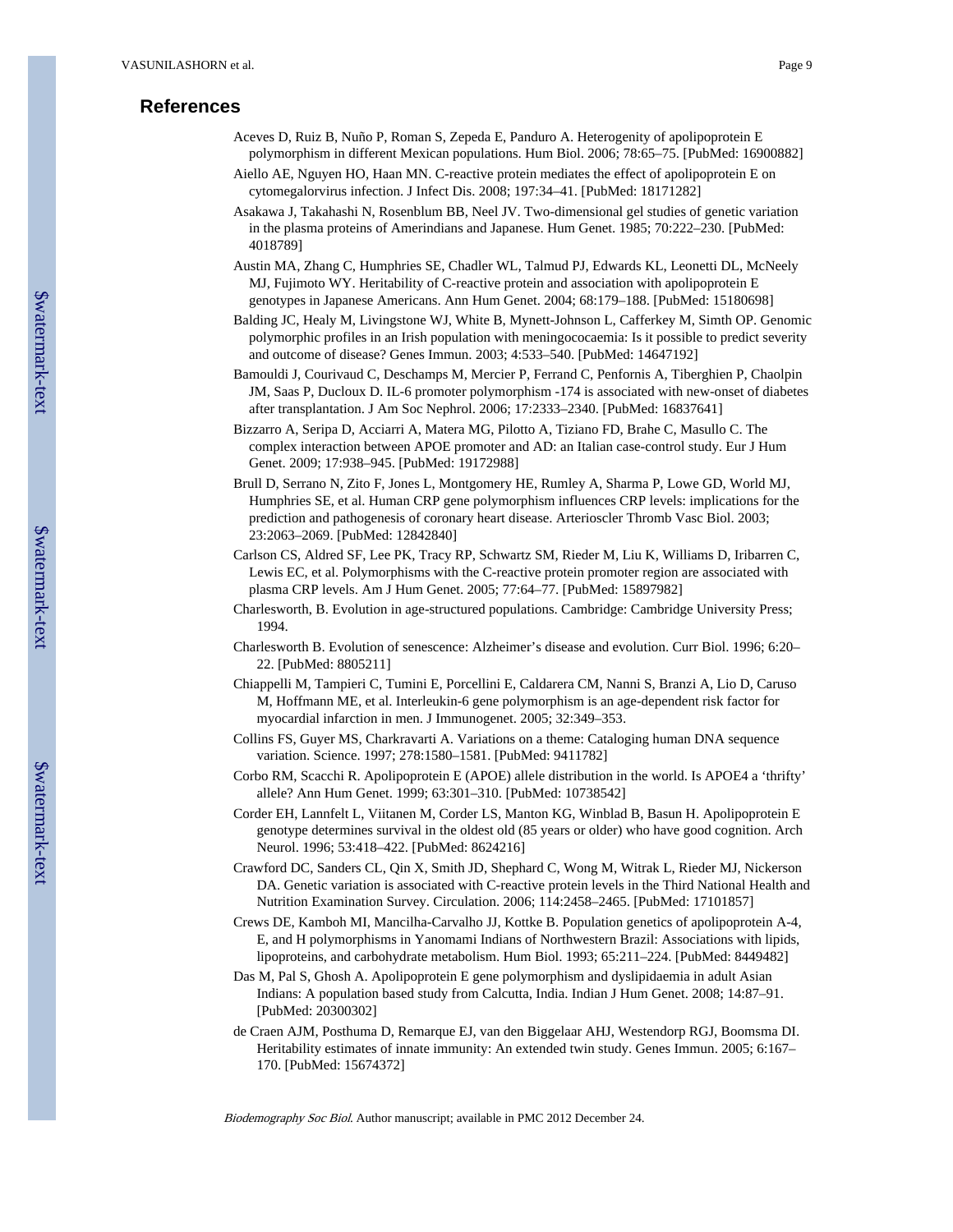## **References**

- Aceves D, Ruiz B, Nuño P, Roman S, Zepeda E, Panduro A. Heterogenity of apolipoprotein E polymorphism in different Mexican populations. Hum Biol. 2006; 78:65–75. [PubMed: 16900882] Aiello AE, Nguyen HO, Haan MN. C-reactive protein mediates the effect of apolipoprotein E on
- cytomegalorvirus infection. J Infect Dis. 2008; 197:34–41. [PubMed: 18171282]
- Asakawa J, Takahashi N, Rosenblum BB, Neel JV. Two-dimensional gel studies of genetic variation in the plasma proteins of Amerindians and Japanese. Hum Genet. 1985; 70:222–230. [PubMed: 4018789]
- Austin MA, Zhang C, Humphries SE, Chadler WL, Talmud PJ, Edwards KL, Leonetti DL, McNeely MJ, Fujimoto WY. Heritability of C-reactive protein and association with apolipoprotein E genotypes in Japanese Americans. Ann Hum Genet. 2004; 68:179–188. [PubMed: 15180698]
- Balding JC, Healy M, Livingstone WJ, White B, Mynett-Johnson L, Cafferkey M, Simth OP. Genomic polymorphic profiles in an Irish population with meningococaemia: Is it possible to predict severity and outcome of disease? Genes Immun. 2003; 4:533–540. [PubMed: 14647192]
- Bamouldi J, Courivaud C, Deschamps M, Mercier P, Ferrand C, Penfornis A, Tiberghien P, Chaolpin JM, Saas P, Ducloux D. IL-6 promoter polymorphism -174 is associated with new-onset of diabetes after transplantation. J Am Soc Nephrol. 2006; 17:2333–2340. [PubMed: 16837641]
- Bizzarro A, Seripa D, Acciarri A, Matera MG, Pilotto A, Tiziano FD, Brahe C, Masullo C. The complex interaction between APOE promoter and AD: an Italian case-control study. Eur J Hum Genet. 2009; 17:938–945. [PubMed: 19172988]
- Brull D, Serrano N, Zito F, Jones L, Montgomery HE, Rumley A, Sharma P, Lowe GD, World MJ, Humphries SE, et al. Human CRP gene polymorphism influences CRP levels: implications for the prediction and pathogenesis of coronary heart disease. Arterioscler Thromb Vasc Biol. 2003; 23:2063–2069. [PubMed: 12842840]
- Carlson CS, Aldred SF, Lee PK, Tracy RP, Schwartz SM, Rieder M, Liu K, Williams D, Iribarren C, Lewis EC, et al. Polymorphisms with the C-reactive protein promoter region are associated with plasma CRP levels. Am J Hum Genet. 2005; 77:64–77. [PubMed: 15897982]
- Charlesworth, B. Evolution in age-structured populations. Cambridge: Cambridge University Press; 1994.
- Charlesworth B. Evolution of senescence: Alzheimer's disease and evolution. Curr Biol. 1996; 6:20– 22. [PubMed: 8805211]
- Chiappelli M, Tampieri C, Tumini E, Porcellini E, Caldarera CM, Nanni S, Branzi A, Lio D, Caruso M, Hoffmann ME, et al. Interleukin-6 gene polymorphism is an age-dependent risk factor for myocardial infarction in men. J Immunogenet. 2005; 32:349–353.
- Collins FS, Guyer MS, Charkravarti A. Variations on a theme: Cataloging human DNA sequence variation. Science. 1997; 278:1580–1581. [PubMed: 9411782]
- Corbo RM, Scacchi R. Apolipoprotein E (APOE) allele distribution in the world. Is APOE4 a 'thrifty' allele? Ann Hum Genet. 1999; 63:301–310. [PubMed: 10738542]
- Corder EH, Lannfelt L, Viitanen M, Corder LS, Manton KG, Winblad B, Basun H. Apolipoprotein E genotype determines survival in the oldest old (85 years or older) who have good cognition. Arch Neurol. 1996; 53:418–422. [PubMed: 8624216]
- Crawford DC, Sanders CL, Qin X, Smith JD, Shephard C, Wong M, Witrak L, Rieder MJ, Nickerson DA. Genetic variation is associated with C-reactive protein levels in the Third National Health and Nutrition Examination Survey. Circulation. 2006; 114:2458–2465. [PubMed: 17101857]
- Crews DE, Kamboh MI, Mancilha-Carvalho JJ, Kottke B. Population genetics of apolipoprotein A-4, E, and H polymorphisms in Yanomami Indians of Northwestern Brazil: Associations with lipids, lipoproteins, and carbohydrate metabolism. Hum Biol. 1993; 65:211–224. [PubMed: 8449482]
- Das M, Pal S, Ghosh A. Apolipoprotein E gene polymorphism and dyslipidaemia in adult Asian Indians: A population based study from Calcutta, India. Indian J Hum Genet. 2008; 14:87–91. [PubMed: 20300302]
- de Craen AJM, Posthuma D, Remarque EJ, van den Biggelaar AHJ, Westendorp RGJ, Boomsma DI. Heritability estimates of innate immunity: An extended twin study. Genes Immun. 2005; 6:167– 170. [PubMed: 15674372]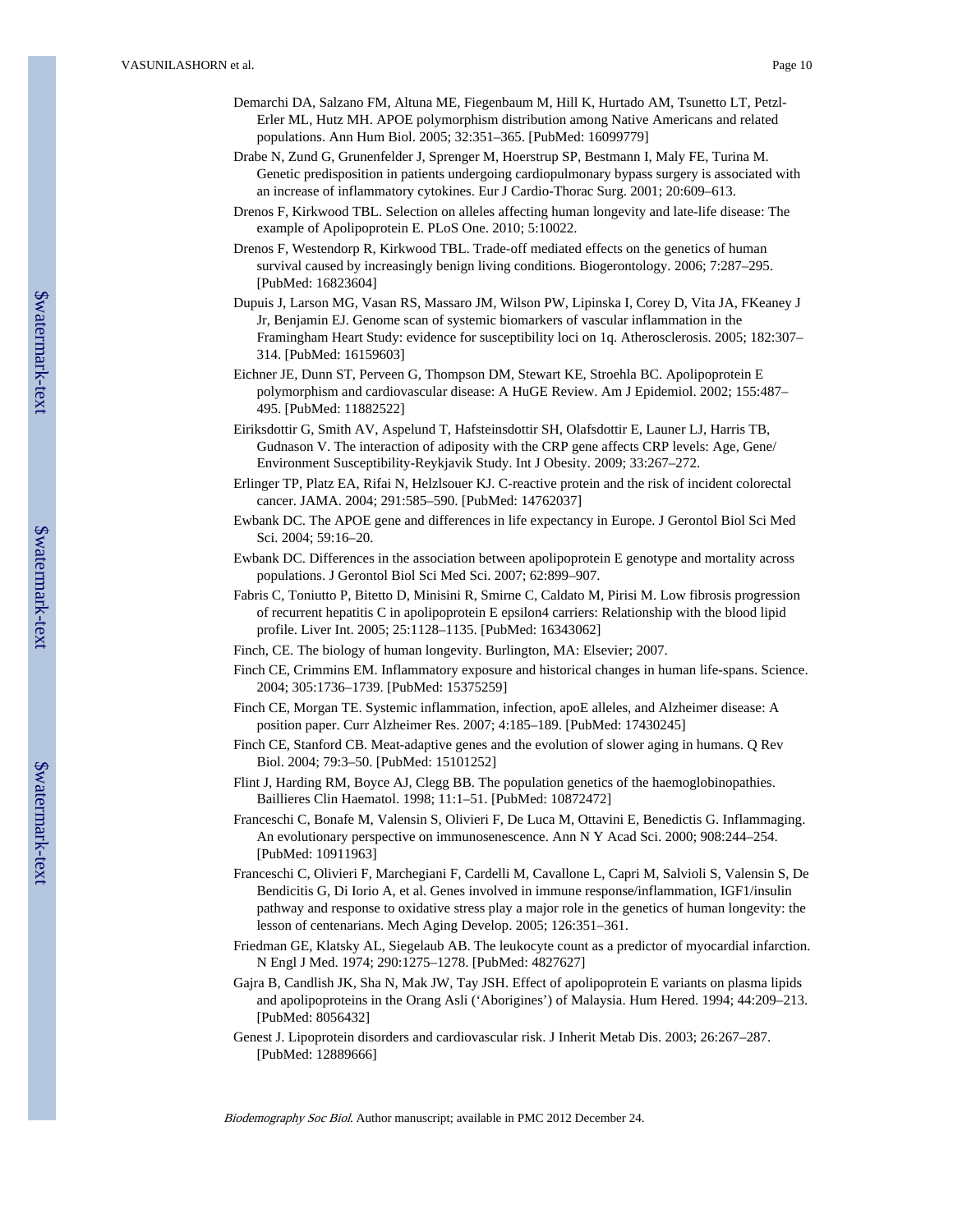- Demarchi DA, Salzano FM, Altuna ME, Fiegenbaum M, Hill K, Hurtado AM, Tsunetto LT, Petzl-Erler ML, Hutz MH. APOE polymorphism distribution among Native Americans and related populations. Ann Hum Biol. 2005; 32:351–365. [PubMed: 16099779]
- Drabe N, Zund G, Grunenfelder J, Sprenger M, Hoerstrup SP, Bestmann I, Maly FE, Turina M. Genetic predisposition in patients undergoing cardiopulmonary bypass surgery is associated with an increase of inflammatory cytokines. Eur J Cardio-Thorac Surg. 2001; 20:609–613.
- Drenos F, Kirkwood TBL. Selection on alleles affecting human longevity and late-life disease: The example of Apolipoprotein E. PLoS One. 2010; 5:10022.
- Drenos F, Westendorp R, Kirkwood TBL. Trade-off mediated effects on the genetics of human survival caused by increasingly benign living conditions. Biogerontology. 2006; 7:287–295. [PubMed: 16823604]
- Dupuis J, Larson MG, Vasan RS, Massaro JM, Wilson PW, Lipinska I, Corey D, Vita JA, FKeaney J Jr, Benjamin EJ. Genome scan of systemic biomarkers of vascular inflammation in the Framingham Heart Study: evidence for susceptibility loci on 1q. Atherosclerosis. 2005; 182:307– 314. [PubMed: 16159603]
- Eichner JE, Dunn ST, Perveen G, Thompson DM, Stewart KE, Stroehla BC. Apolipoprotein E polymorphism and cardiovascular disease: A HuGE Review. Am J Epidemiol. 2002; 155:487– 495. [PubMed: 11882522]
- Eiriksdottir G, Smith AV, Aspelund T, Hafsteinsdottir SH, Olafsdottir E, Launer LJ, Harris TB, Gudnason V. The interaction of adiposity with the CRP gene affects CRP levels: Age, Gene/ Environment Susceptibility-Reykjavik Study. Int J Obesity. 2009; 33:267–272.
- Erlinger TP, Platz EA, Rifai N, Helzlsouer KJ. C-reactive protein and the risk of incident colorectal cancer. JAMA. 2004; 291:585–590. [PubMed: 14762037]
- Ewbank DC. The APOE gene and differences in life expectancy in Europe. J Gerontol Biol Sci Med Sci. 2004; 59:16–20.
- Ewbank DC. Differences in the association between apolipoprotein E genotype and mortality across populations. J Gerontol Biol Sci Med Sci. 2007; 62:899–907.
- Fabris C, Toniutto P, Bitetto D, Minisini R, Smirne C, Caldato M, Pirisi M. Low fibrosis progression of recurrent hepatitis C in apolipoprotein E epsilon4 carriers: Relationship with the blood lipid profile. Liver Int. 2005; 25:1128–1135. [PubMed: 16343062]
- Finch, CE. The biology of human longevity. Burlington, MA: Elsevier; 2007.
- Finch CE, Crimmins EM. Inflammatory exposure and historical changes in human life-spans. Science. 2004; 305:1736–1739. [PubMed: 15375259]
- Finch CE, Morgan TE. Systemic inflammation, infection, apoE alleles, and Alzheimer disease: A position paper. Curr Alzheimer Res. 2007; 4:185–189. [PubMed: 17430245]
- Finch CE, Stanford CB. Meat-adaptive genes and the evolution of slower aging in humans. Q Rev Biol. 2004; 79:3–50. [PubMed: 15101252]
- Flint J, Harding RM, Boyce AJ, Clegg BB. The population genetics of the haemoglobinopathies. Baillieres Clin Haematol. 1998; 11:1–51. [PubMed: 10872472]
- Franceschi C, Bonafe M, Valensin S, Olivieri F, De Luca M, Ottavini E, Benedictis G. Inflammaging. An evolutionary perspective on immunosenescence. Ann N Y Acad Sci. 2000; 908:244–254. [PubMed: 10911963]
- Franceschi C, Olivieri F, Marchegiani F, Cardelli M, Cavallone L, Capri M, Salvioli S, Valensin S, De Bendicitis G, Di Iorio A, et al. Genes involved in immune response/inflammation, IGF1/insulin pathway and response to oxidative stress play a major role in the genetics of human longevity: the lesson of centenarians. Mech Aging Develop. 2005; 126:351–361.
- Friedman GE, Klatsky AL, Siegelaub AB. The leukocyte count as a predictor of myocardial infarction. N Engl J Med. 1974; 290:1275–1278. [PubMed: 4827627]
- Gajra B, Candlish JK, Sha N, Mak JW, Tay JSH. Effect of apolipoprotein E variants on plasma lipids and apolipoproteins in the Orang Asli ('Aborigines') of Malaysia. Hum Hered. 1994; 44:209–213. [PubMed: 8056432]
- Genest J. Lipoprotein disorders and cardiovascular risk. J Inherit Metab Dis. 2003; 26:267–287. [PubMed: 12889666]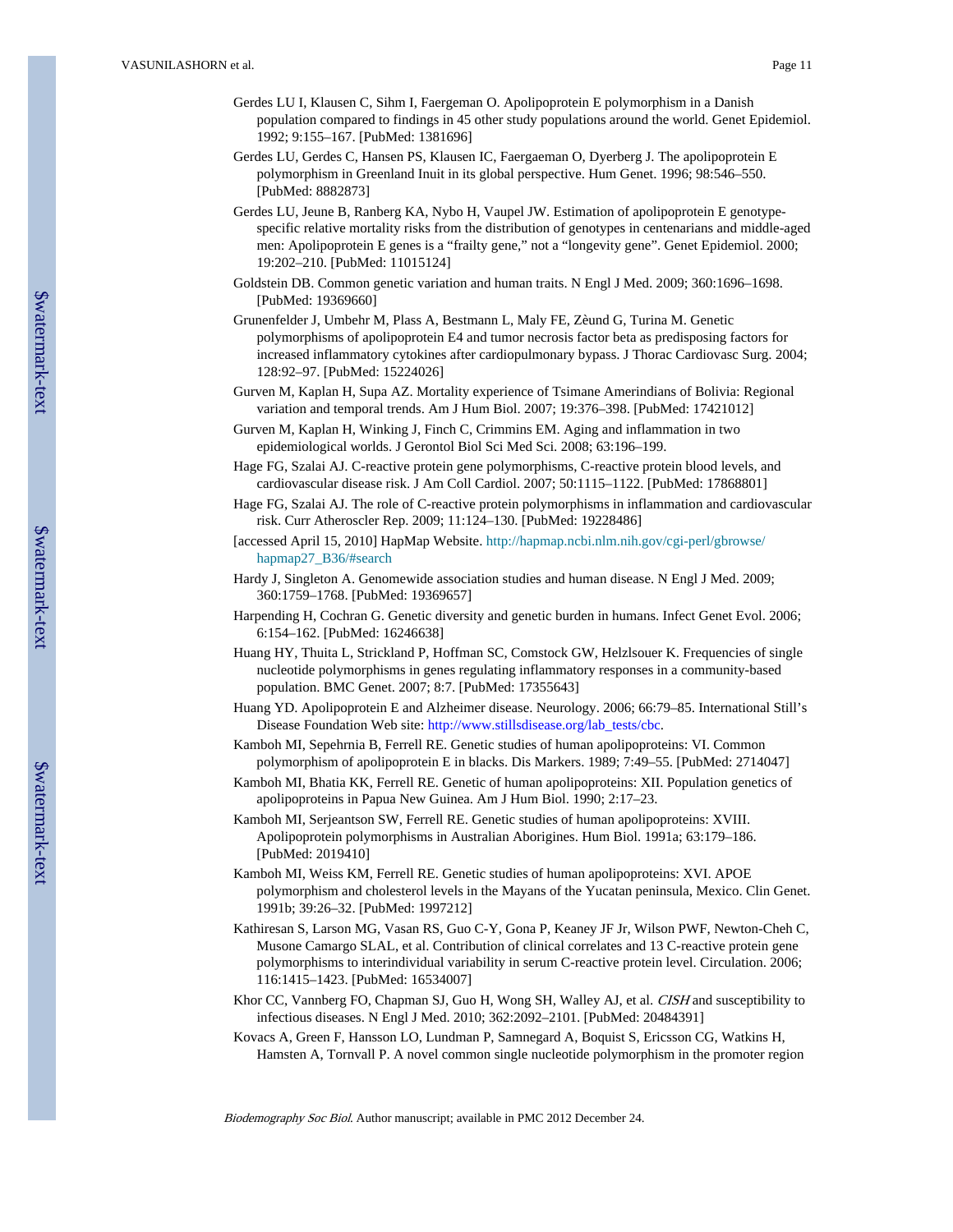- Gerdes LU I, Klausen C, Sihm I, Faergeman O. Apolipoprotein E polymorphism in a Danish population compared to findings in 45 other study populations around the world. Genet Epidemiol. 1992; 9:155–167. [PubMed: 1381696]
- Gerdes LU, Gerdes C, Hansen PS, Klausen IC, Faergaeman O, Dyerberg J. The apolipoprotein E polymorphism in Greenland Inuit in its global perspective. Hum Genet. 1996; 98:546–550. [PubMed: 8882873]
- Gerdes LU, Jeune B, Ranberg KA, Nybo H, Vaupel JW. Estimation of apolipoprotein E genotypespecific relative mortality risks from the distribution of genotypes in centenarians and middle-aged men: Apolipoprotein E genes is a "frailty gene," not a "longevity gene". Genet Epidemiol. 2000; 19:202–210. [PubMed: 11015124]
- Goldstein DB. Common genetic variation and human traits. N Engl J Med. 2009; 360:1696–1698. [PubMed: 19369660]
- Grunenfelder J, Umbehr M, Plass A, Bestmann L, Maly FE, Zèund G, Turina M. Genetic polymorphisms of apolipoprotein E4 and tumor necrosis factor beta as predisposing factors for increased inflammatory cytokines after cardiopulmonary bypass. J Thorac Cardiovasc Surg. 2004; 128:92–97. [PubMed: 15224026]
- Gurven M, Kaplan H, Supa AZ. Mortality experience of Tsimane Amerindians of Bolivia: Regional variation and temporal trends. Am J Hum Biol. 2007; 19:376–398. [PubMed: 17421012]
- Gurven M, Kaplan H, Winking J, Finch C, Crimmins EM. Aging and inflammation in two epidemiological worlds. J Gerontol Biol Sci Med Sci. 2008; 63:196–199.
- Hage FG, Szalai AJ. C-reactive protein gene polymorphisms, C-reactive protein blood levels, and cardiovascular disease risk. J Am Coll Cardiol. 2007; 50:1115–1122. [PubMed: 17868801]
- Hage FG, Szalai AJ. The role of C-reactive protein polymorphisms in inflammation and cardiovascular risk. Curr Atheroscler Rep. 2009; 11:124–130. [PubMed: 19228486]
- [accessed April 15, 2010] HapMap Website. [http://hapmap.ncbi.nlm.nih.gov/cgi-perl/gbrowse/](http://hapmap.ncbi.nlm.nih.gov/cgi-perl/gbrowse/hapmap27_B36/#search) [hapmap27\\_B36/#search](http://hapmap.ncbi.nlm.nih.gov/cgi-perl/gbrowse/hapmap27_B36/#search)
- Hardy J, Singleton A. Genomewide association studies and human disease. N Engl J Med. 2009; 360:1759–1768. [PubMed: 19369657]
- Harpending H, Cochran G. Genetic diversity and genetic burden in humans. Infect Genet Evol. 2006; 6:154–162. [PubMed: 16246638]
- Huang HY, Thuita L, Strickland P, Hoffman SC, Comstock GW, Helzlsouer K. Frequencies of single nucleotide polymorphisms in genes regulating inflammatory responses in a community-based population. BMC Genet. 2007; 8:7. [PubMed: 17355643]
- Huang YD. Apolipoprotein E and Alzheimer disease. Neurology. 2006; 66:79–85. International Still's Disease Foundation Web site: [http://www.stillsdisease.org/lab\\_tests/cbc](http://www.stillsdisease.org/lab_tests/cbc).
- Kamboh MI, Sepehrnia B, Ferrell RE. Genetic studies of human apolipoproteins: VI. Common polymorphism of apolipoprotein E in blacks. Dis Markers. 1989; 7:49–55. [PubMed: 2714047]
- Kamboh MI, Bhatia KK, Ferrell RE. Genetic of human apolipoproteins: XII. Population genetics of apolipoproteins in Papua New Guinea. Am J Hum Biol. 1990; 2:17–23.
- Kamboh MI, Serjeantson SW, Ferrell RE. Genetic studies of human apolipoproteins: XVIII. Apolipoprotein polymorphisms in Australian Aborigines. Hum Biol. 1991a; 63:179–186. [PubMed: 2019410]
- Kamboh MI, Weiss KM, Ferrell RE. Genetic studies of human apolipoproteins: XVI. APOE polymorphism and cholesterol levels in the Mayans of the Yucatan peninsula, Mexico. Clin Genet. 1991b; 39:26–32. [PubMed: 1997212]
- Kathiresan S, Larson MG, Vasan RS, Guo C-Y, Gona P, Keaney JF Jr, Wilson PWF, Newton-Cheh C, Musone Camargo SLAL, et al. Contribution of clinical correlates and 13 C-reactive protein gene polymorphisms to interindividual variability in serum C-reactive protein level. Circulation. 2006; 116:1415–1423. [PubMed: 16534007]
- Khor CC, Vannberg FO, Chapman SJ, Guo H, Wong SH, Walley AJ, et al. CISH and susceptibility to infectious diseases. N Engl J Med. 2010; 362:2092–2101. [PubMed: 20484391]
- Kovacs A, Green F, Hansson LO, Lundman P, Samnegard A, Boquist S, Ericsson CG, Watkins H, Hamsten A, Tornvall P. A novel common single nucleotide polymorphism in the promoter region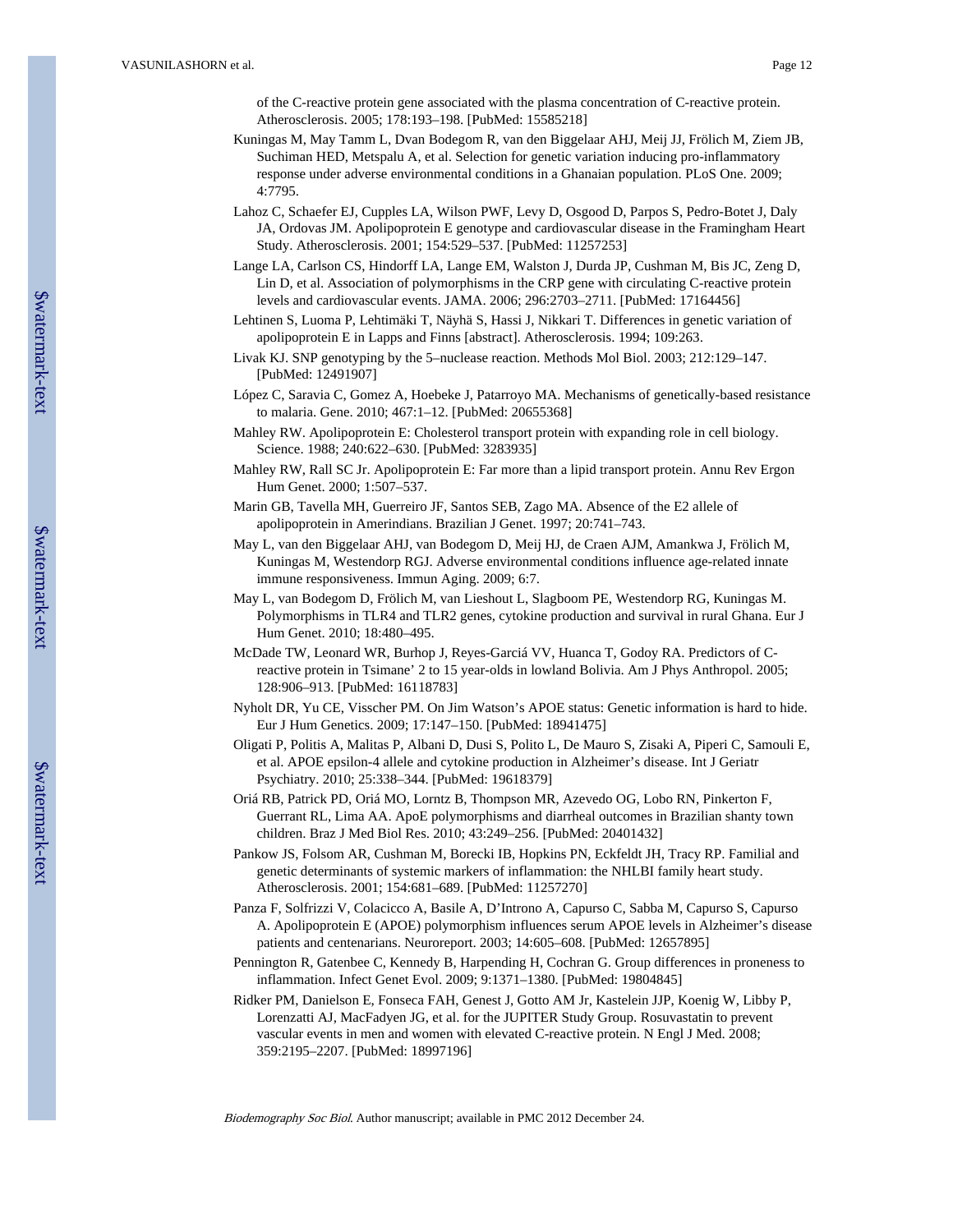of the C-reactive protein gene associated with the plasma concentration of C-reactive protein. Atherosclerosis. 2005; 178:193–198. [PubMed: 15585218]

- Kuningas M, May Tamm L, Dvan Bodegom R, van den Biggelaar AHJ, Meij JJ, Frölich M, Ziem JB, Suchiman HED, Metspalu A, et al. Selection for genetic variation inducing pro-inflammatory response under adverse environmental conditions in a Ghanaian population. PLoS One. 2009; 4:7795.
- Lahoz C, Schaefer EJ, Cupples LA, Wilson PWF, Levy D, Osgood D, Parpos S, Pedro-Botet J, Daly JA, Ordovas JM. Apolipoprotein E genotype and cardiovascular disease in the Framingham Heart Study. Atherosclerosis. 2001; 154:529–537. [PubMed: 11257253]
- Lange LA, Carlson CS, Hindorff LA, Lange EM, Walston J, Durda JP, Cushman M, Bis JC, Zeng D, Lin D, et al. Association of polymorphisms in the CRP gene with circulating C-reactive protein levels and cardiovascular events. JAMA. 2006; 296:2703–2711. [PubMed: 17164456]
- Lehtinen S, Luoma P, Lehtimäki T, Näyhä S, Hassi J, Nikkari T. Differences in genetic variation of apolipoprotein E in Lapps and Finns [abstract]. Atherosclerosis. 1994; 109:263.
- Livak KJ. SNP genotyping by the 5–nuclease reaction. Methods Mol Biol. 2003; 212:129–147. [PubMed: 12491907]
- López C, Saravia C, Gomez A, Hoebeke J, Patarroyo MA. Mechanisms of genetically-based resistance to malaria. Gene. 2010; 467:1–12. [PubMed: 20655368]
- Mahley RW. Apolipoprotein E: Cholesterol transport protein with expanding role in cell biology. Science. 1988; 240:622–630. [PubMed: 3283935]
- Mahley RW, Rall SC Jr. Apolipoprotein E: Far more than a lipid transport protein. Annu Rev Ergon Hum Genet. 2000; 1:507–537.
- Marin GB, Tavella MH, Guerreiro JF, Santos SEB, Zago MA. Absence of the E2 allele of apolipoprotein in Amerindians. Brazilian J Genet. 1997; 20:741–743.
- May L, van den Biggelaar AHJ, van Bodegom D, Meij HJ, de Craen AJM, Amankwa J, Frölich M, Kuningas M, Westendorp RGJ. Adverse environmental conditions influence age-related innate immune responsiveness. Immun Aging. 2009; 6:7.
- May L, van Bodegom D, Frölich M, van Lieshout L, Slagboom PE, Westendorp RG, Kuningas M. Polymorphisms in TLR4 and TLR2 genes, cytokine production and survival in rural Ghana. Eur J Hum Genet. 2010; 18:480–495.
- McDade TW, Leonard WR, Burhop J, Reyes-Garciá VV, Huanca T, Godoy RA. Predictors of Creactive protein in Tsimane' 2 to 15 year-olds in lowland Bolivia. Am J Phys Anthropol. 2005; 128:906–913. [PubMed: 16118783]
- Nyholt DR, Yu CE, Visscher PM. On Jim Watson's APOE status: Genetic information is hard to hide. Eur J Hum Genetics. 2009; 17:147–150. [PubMed: 18941475]
- Oligati P, Politis A, Malitas P, Albani D, Dusi S, Polito L, De Mauro S, Zisaki A, Piperi C, Samouli E, et al. APOE epsilon-4 allele and cytokine production in Alzheimer's disease. Int J Geriatr Psychiatry. 2010; 25:338–344. [PubMed: 19618379]
- Oriá RB, Patrick PD, Oriá MO, Lorntz B, Thompson MR, Azevedo OG, Lobo RN, Pinkerton F, Guerrant RL, Lima AA. ApoE polymorphisms and diarrheal outcomes in Brazilian shanty town children. Braz J Med Biol Res. 2010; 43:249–256. [PubMed: 20401432]
- Pankow JS, Folsom AR, Cushman M, Borecki IB, Hopkins PN, Eckfeldt JH, Tracy RP. Familial and genetic determinants of systemic markers of inflammation: the NHLBI family heart study. Atherosclerosis. 2001; 154:681–689. [PubMed: 11257270]
- Panza F, Solfrizzi V, Colacicco A, Basile A, D'Introno A, Capurso C, Sabba M, Capurso S, Capurso A. Apolipoprotein E (APOE) polymorphism influences serum APOE levels in Alzheimer's disease patients and centenarians. Neuroreport. 2003; 14:605–608. [PubMed: 12657895]
- Pennington R, Gatenbee C, Kennedy B, Harpending H, Cochran G. Group differences in proneness to inflammation. Infect Genet Evol. 2009; 9:1371–1380. [PubMed: 19804845]
- Ridker PM, Danielson E, Fonseca FAH, Genest J, Gotto AM Jr, Kastelein JJP, Koenig W, Libby P, Lorenzatti AJ, MacFadyen JG, et al. for the JUPITER Study Group. Rosuvastatin to prevent vascular events in men and women with elevated C-reactive protein. N Engl J Med. 2008; 359:2195–2207. [PubMed: 18997196]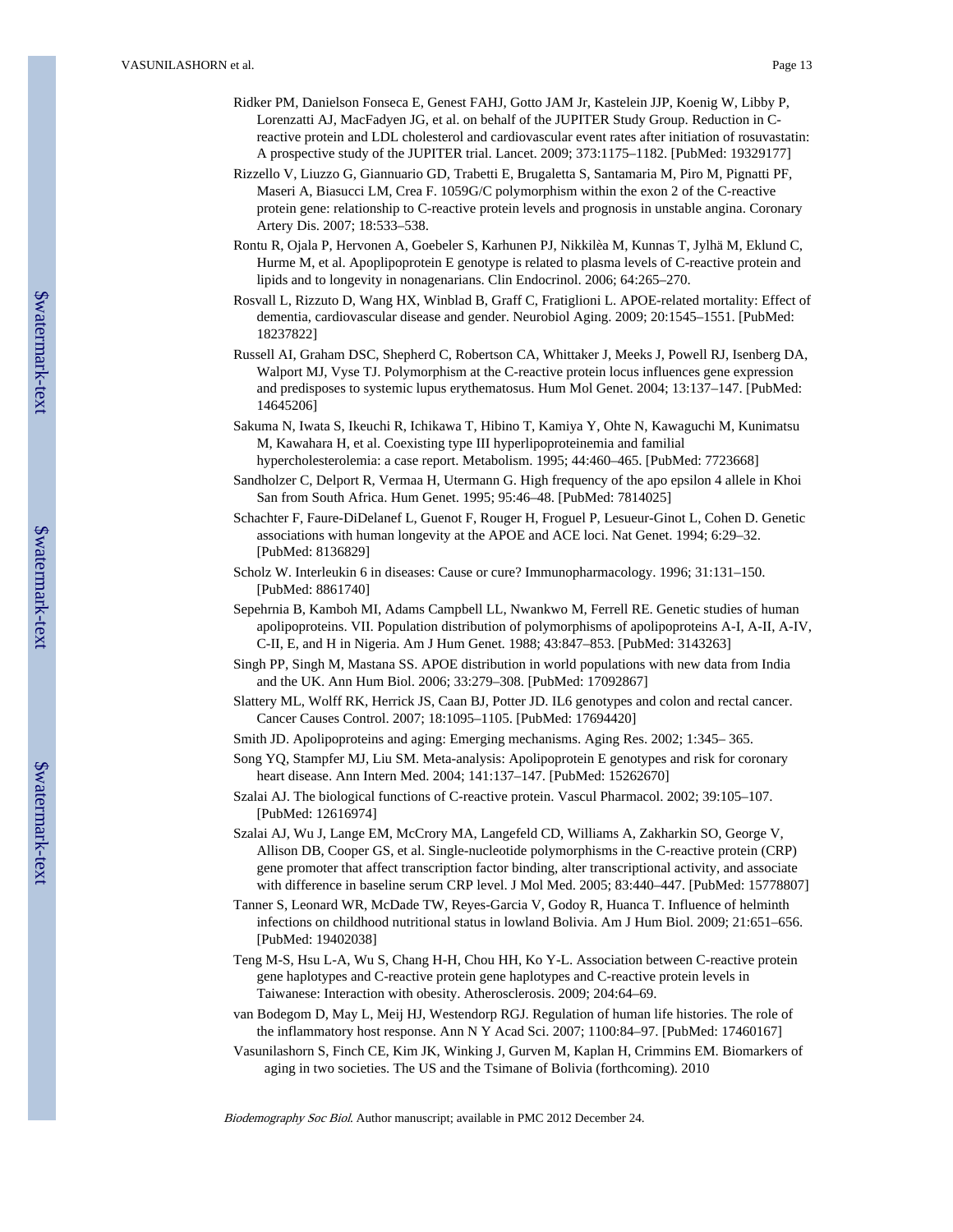- Ridker PM, Danielson Fonseca E, Genest FAHJ, Gotto JAM Jr, Kastelein JJP, Koenig W, Libby P, Lorenzatti AJ, MacFadyen JG, et al. on behalf of the JUPITER Study Group. Reduction in Creactive protein and LDL cholesterol and cardiovascular event rates after initiation of rosuvastatin: A prospective study of the JUPITER trial. Lancet. 2009; 373:1175–1182. [PubMed: 19329177]
- Rizzello V, Liuzzo G, Giannuario GD, Trabetti E, Brugaletta S, Santamaria M, Piro M, Pignatti PF, Maseri A, Biasucci LM, Crea F. 1059G/C polymorphism within the exon 2 of the C-reactive protein gene: relationship to C-reactive protein levels and prognosis in unstable angina. Coronary Artery Dis. 2007; 18:533–538.
- Rontu R, Ojala P, Hervonen A, Goebeler S, Karhunen PJ, Nikkilèa M, Kunnas T, Jylhä M, Eklund C, Hurme M, et al. Apoplipoprotein E genotype is related to plasma levels of C-reactive protein and lipids and to longevity in nonagenarians. Clin Endocrinol. 2006; 64:265–270.
- Rosvall L, Rizzuto D, Wang HX, Winblad B, Graff C, Fratiglioni L. APOE-related mortality: Effect of dementia, cardiovascular disease and gender. Neurobiol Aging. 2009; 20:1545–1551. [PubMed: 18237822]
- Russell AI, Graham DSC, Shepherd C, Robertson CA, Whittaker J, Meeks J, Powell RJ, Isenberg DA, Walport MJ, Vyse TJ. Polymorphism at the C-reactive protein locus influences gene expression and predisposes to systemic lupus erythematosus. Hum Mol Genet. 2004; 13:137–147. [PubMed: 14645206]
- Sakuma N, Iwata S, Ikeuchi R, Ichikawa T, Hibino T, Kamiya Y, Ohte N, Kawaguchi M, Kunimatsu M, Kawahara H, et al. Coexisting type III hyperlipoproteinemia and familial hypercholesterolemia: a case report. Metabolism. 1995; 44:460–465. [PubMed: 7723668]
- Sandholzer C, Delport R, Vermaa H, Utermann G. High frequency of the apo epsilon 4 allele in Khoi San from South Africa. Hum Genet. 1995; 95:46–48. [PubMed: 7814025]
- Schachter F, Faure-DiDelanef L, Guenot F, Rouger H, Froguel P, Lesueur-Ginot L, Cohen D. Genetic associations with human longevity at the APOE and ACE loci. Nat Genet. 1994; 6:29–32. [PubMed: 8136829]
- Scholz W. Interleukin 6 in diseases: Cause or cure? Immunopharmacology. 1996; 31:131–150. [PubMed: 8861740]
- Sepehrnia B, Kamboh MI, Adams Campbell LL, Nwankwo M, Ferrell RE. Genetic studies of human apolipoproteins. VII. Population distribution of polymorphisms of apolipoproteins A-I, A-II, A-IV, C-II, E, and H in Nigeria. Am J Hum Genet. 1988; 43:847–853. [PubMed: 3143263]
- Singh PP, Singh M, Mastana SS. APOE distribution in world populations with new data from India and the UK. Ann Hum Biol. 2006; 33:279–308. [PubMed: 17092867]
- Slattery ML, Wolff RK, Herrick JS, Caan BJ, Potter JD. IL6 genotypes and colon and rectal cancer. Cancer Causes Control. 2007; 18:1095–1105. [PubMed: 17694420]
- Smith JD. Apolipoproteins and aging: Emerging mechanisms. Aging Res. 2002; 1:345– 365.
- Song YQ, Stampfer MJ, Liu SM. Meta-analysis: Apolipoprotein E genotypes and risk for coronary heart disease. Ann Intern Med. 2004; 141:137–147. [PubMed: 15262670]
- Szalai AJ. The biological functions of C-reactive protein. Vascul Pharmacol. 2002; 39:105–107. [PubMed: 12616974]
- Szalai AJ, Wu J, Lange EM, McCrory MA, Langefeld CD, Williams A, Zakharkin SO, George V, Allison DB, Cooper GS, et al. Single-nucleotide polymorphisms in the C-reactive protein (CRP) gene promoter that affect transcription factor binding, alter transcriptional activity, and associate with difference in baseline serum CRP level. J Mol Med. 2005; 83:440–447. [PubMed: 15778807]
- Tanner S, Leonard WR, McDade TW, Reyes-Garcia V, Godoy R, Huanca T. Influence of helminth infections on childhood nutritional status in lowland Bolivia. Am J Hum Biol. 2009; 21:651–656. [PubMed: 19402038]
- Teng M-S, Hsu L-A, Wu S, Chang H-H, Chou HH, Ko Y-L. Association between C-reactive protein gene haplotypes and C-reactive protein gene haplotypes and C-reactive protein levels in Taiwanese: Interaction with obesity. Atherosclerosis. 2009; 204:64–69.
- van Bodegom D, May L, Meij HJ, Westendorp RGJ. Regulation of human life histories. The role of the inflammatory host response. Ann N Y Acad Sci. 2007; 1100:84–97. [PubMed: 17460167]
- Vasunilashorn S, Finch CE, Kim JK, Winking J, Gurven M, Kaplan H, Crimmins EM. Biomarkers of aging in two societies. The US and the Tsimane of Bolivia (forthcoming). 2010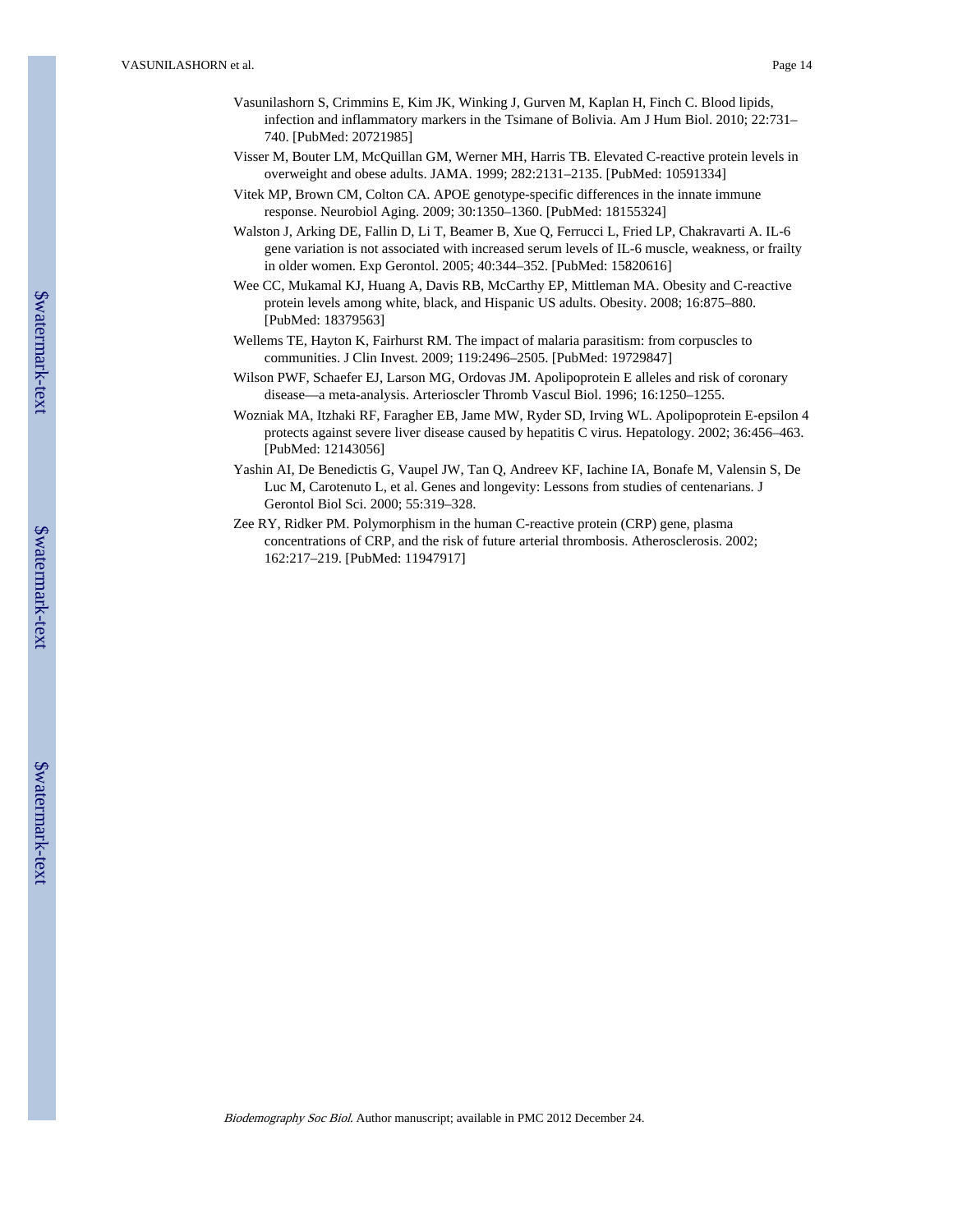- Vasunilashorn S, Crimmins E, Kim JK, Winking J, Gurven M, Kaplan H, Finch C. Blood lipids, infection and inflammatory markers in the Tsimane of Bolivia. Am J Hum Biol. 2010; 22:731– 740. [PubMed: 20721985]
- Visser M, Bouter LM, McQuillan GM, Werner MH, Harris TB. Elevated C-reactive protein levels in overweight and obese adults. JAMA. 1999; 282:2131–2135. [PubMed: 10591334]
- Vitek MP, Brown CM, Colton CA. APOE genotype-specific differences in the innate immune response. Neurobiol Aging. 2009; 30:1350–1360. [PubMed: 18155324]
- Walston J, Arking DE, Fallin D, Li T, Beamer B, Xue Q, Ferrucci L, Fried LP, Chakravarti A. IL-6 gene variation is not associated with increased serum levels of IL-6 muscle, weakness, or frailty in older women. Exp Gerontol. 2005; 40:344–352. [PubMed: 15820616]
- Wee CC, Mukamal KJ, Huang A, Davis RB, McCarthy EP, Mittleman MA. Obesity and C-reactive protein levels among white, black, and Hispanic US adults. Obesity. 2008; 16:875–880. [PubMed: 18379563]
- Wellems TE, Hayton K, Fairhurst RM. The impact of malaria parasitism: from corpuscles to communities. J Clin Invest. 2009; 119:2496–2505. [PubMed: 19729847]
- Wilson PWF, Schaefer EJ, Larson MG, Ordovas JM. Apolipoprotein E alleles and risk of coronary disease—a meta-analysis. Arterioscler Thromb Vascul Biol. 1996; 16:1250–1255.
- Wozniak MA, Itzhaki RF, Faragher EB, Jame MW, Ryder SD, Irving WL. Apolipoprotein E-epsilon 4 protects against severe liver disease caused by hepatitis C virus. Hepatology. 2002; 36:456–463. [PubMed: 12143056]
- Yashin AI, De Benedictis G, Vaupel JW, Tan Q, Andreev KF, Iachine IA, Bonafe M, Valensin S, De Luc M, Carotenuto L, et al. Genes and longevity: Lessons from studies of centenarians. J Gerontol Biol Sci. 2000; 55:319–328.
- Zee RY, Ridker PM. Polymorphism in the human C-reactive protein (CRP) gene, plasma concentrations of CRP, and the risk of future arterial thrombosis. Atherosclerosis. 2002; 162:217–219. [PubMed: 11947917]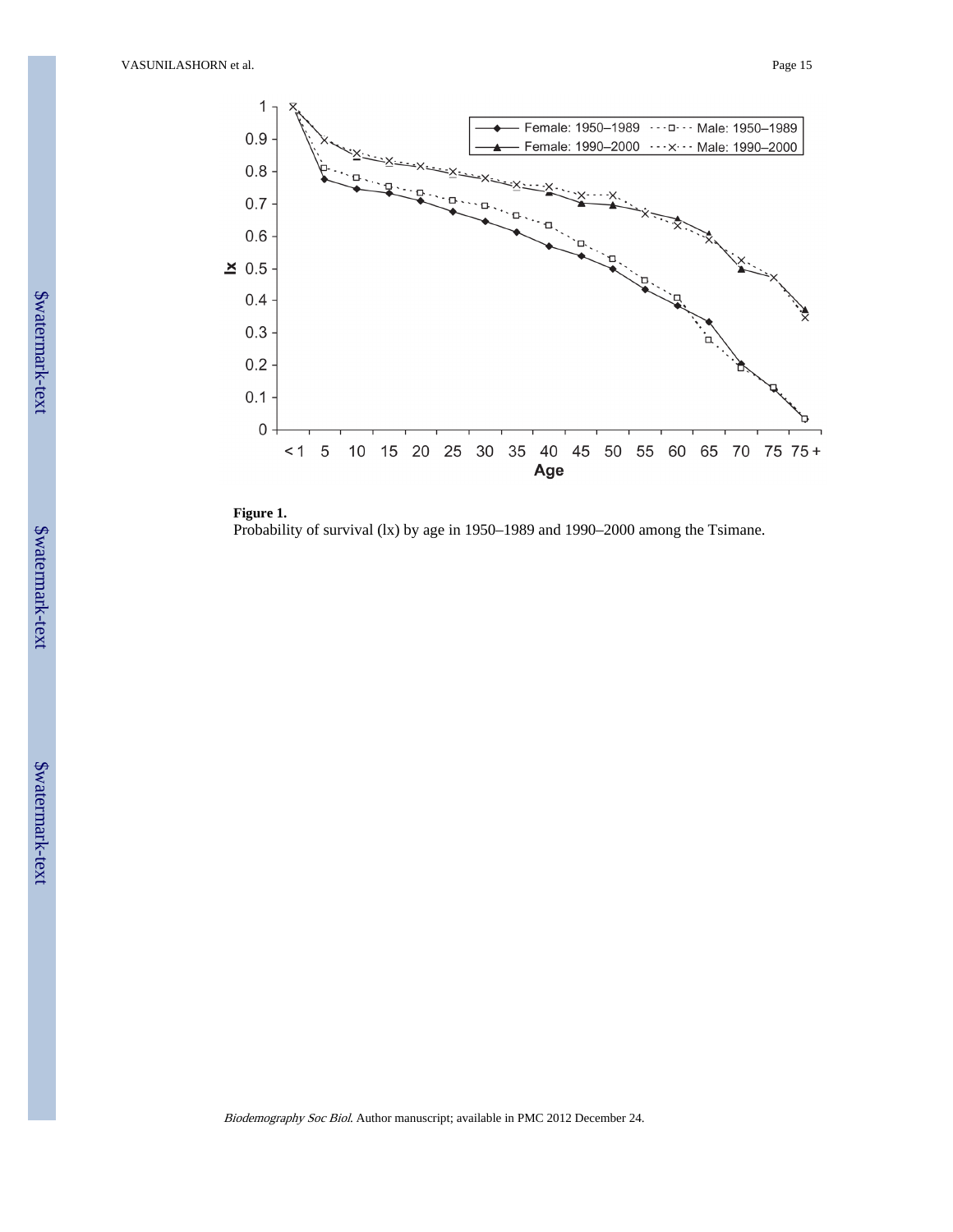



**Figure 1.** Probability of survival (lx) by age in 1950–1989 and 1990–2000 among the Tsimane.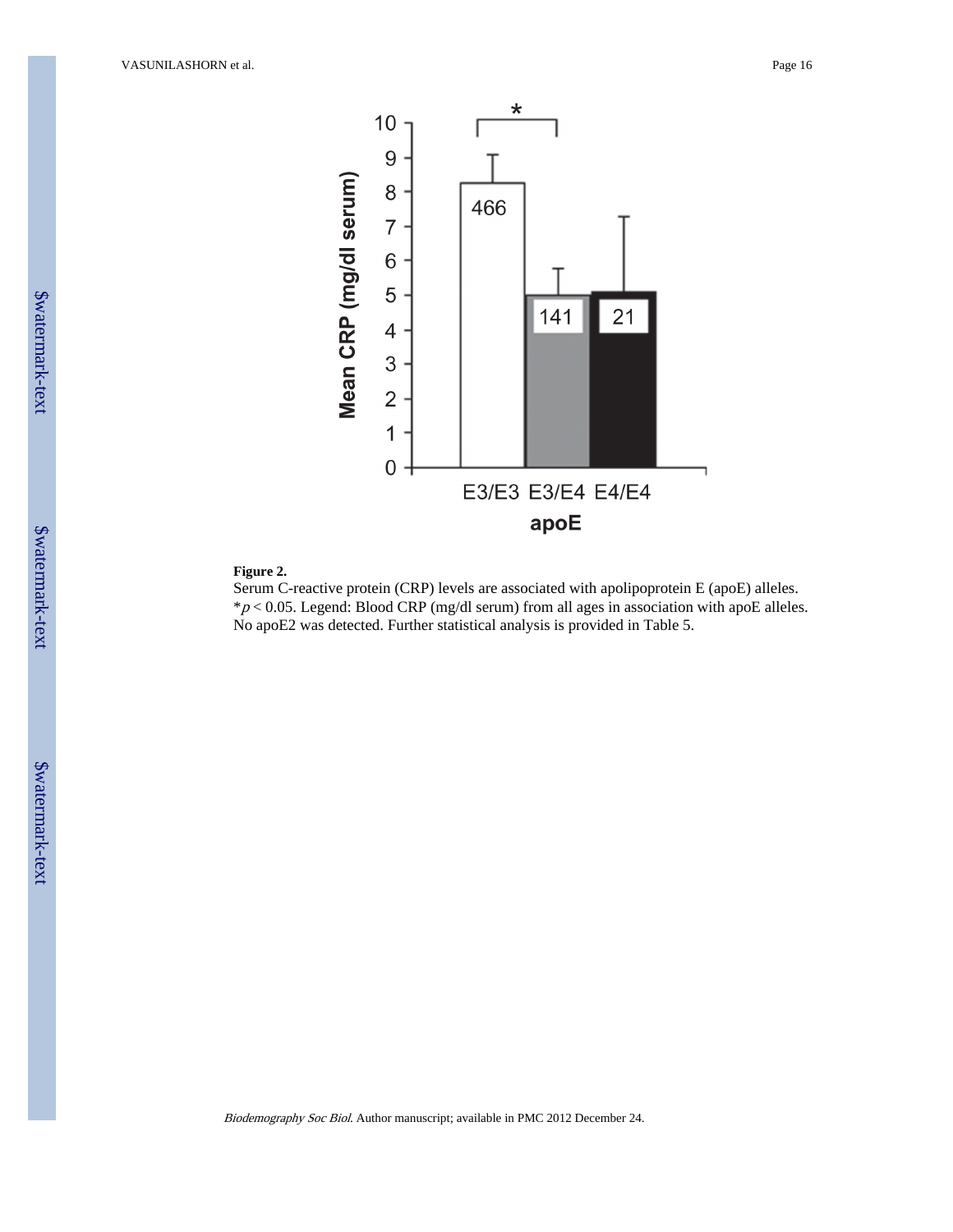

## **Figure 2.**

Serum C-reactive protein (CRP) levels are associated with apolipoprotein E (apoE) alleles.  $*p$  < 0.05. Legend: Blood CRP (mg/dl serum) from all ages in association with apoE alleles. No apoE2 was detected. Further statistical analysis is provided in Table 5.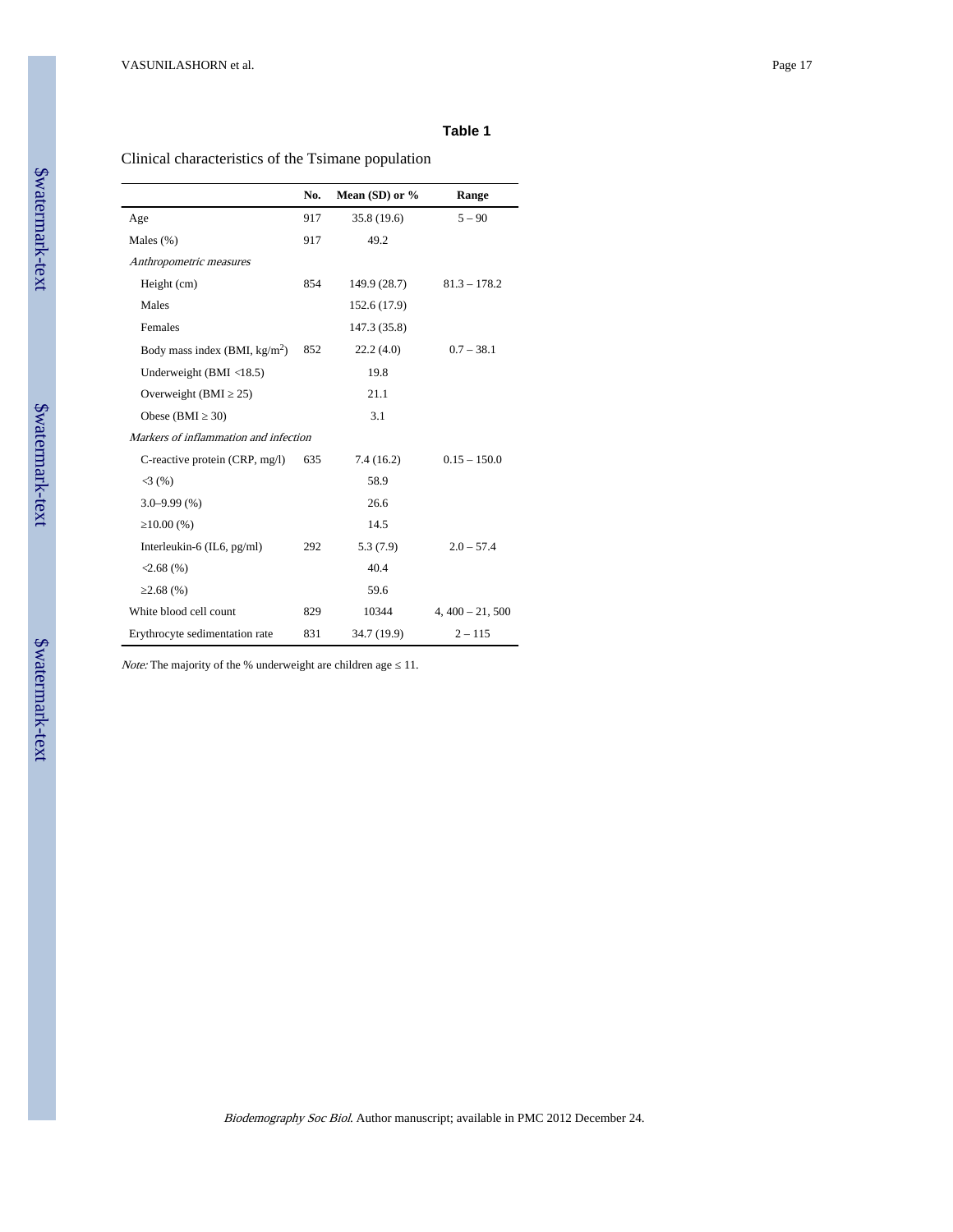## **Table 1**

Clinical characteristics of the Tsimane population

|                                         | No. | Mean (SD) or $%$ | Range            |
|-----------------------------------------|-----|------------------|------------------|
| Age                                     | 917 | 35.8 (19.6)      | $5 - 90$         |
| Males $(\%)$                            | 917 | 49.2             |                  |
| Anthropometric measures                 |     |                  |                  |
| Height (cm)                             | 854 | 149.9 (28.7)     | $81.3 - 178.2$   |
| Males                                   |     | 152.6 (17.9)     |                  |
| Females                                 |     | 147.3 (35.8)     |                  |
| Body mass index $(BMI, kg/m2)$          | 852 | 22.2(4.0)        | $0.7 - 38.1$     |
| Underweight (BMI $\langle 18.5 \rangle$ |     | 19.8             |                  |
| Overweight (BMI<br>25)                  |     | 21.1             |                  |
| Obese (BMI<br>30)                       |     | 3.1              |                  |
| Markers of inflammation and infection   |     |                  |                  |
| C-reactive protein (CRP, mg/l)          | 635 | 7.4(16.2)        | $0.15 - 150.0$   |
| 3(%)                                    |     | 58.9             |                  |
| $3.0 - 9.99(% )$                        |     | 26.6             |                  |
| 10.00(%)                                |     | 14.5             |                  |
| Interleukin-6 $(IL6, pg/ml)$            | 292 | 5.3(7.9)         | $2.0 - 57.4$     |
| $\langle 2.68(9) \rangle$               |     | 40.4             |                  |
| 2.68(%)                                 |     | 59.6             |                  |
| White blood cell count                  | 829 | 10344            | $4,400 - 21,500$ |
| Erythrocyte sedimentation rate          | 831 | 34.7 (19.9)      | $2 - 115$        |

Note: The majority of the % underweight are children age 11.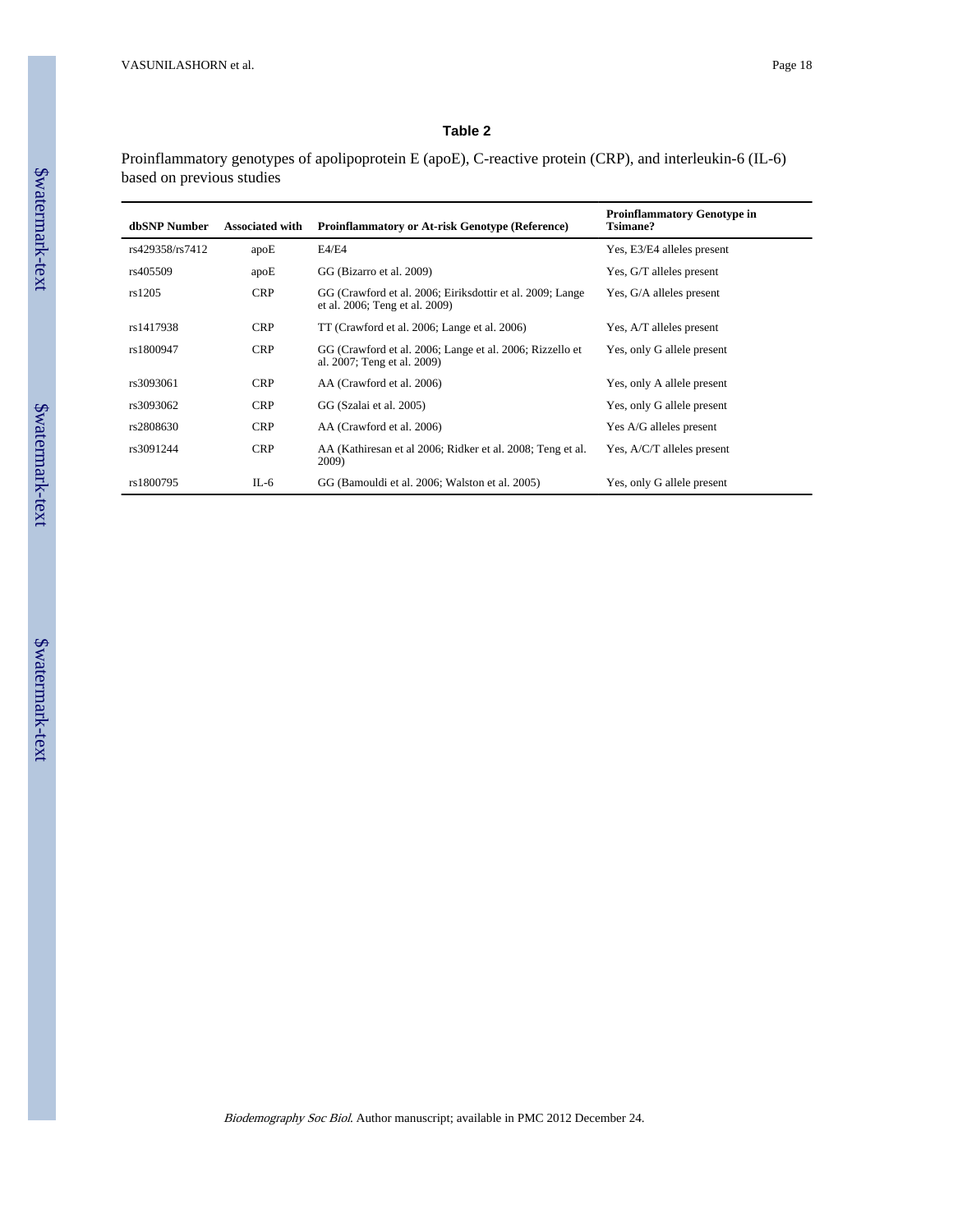## **Table 2**

Proinflammatory genotypes of apolipoprotein E (apoE), C-reactive protein (CRP), and interleukin-6 (IL-6) based on previous studies

| dbSNP Number    | <b>Associated with</b> | <b>Proinflammatory or At-risk Genotype (Reference)</b>                                      | <b>Proinflammatory Genotype in</b><br><b>Tsimane?</b> |
|-----------------|------------------------|---------------------------------------------------------------------------------------------|-------------------------------------------------------|
| rs429358/rs7412 | apoE                   | E4/E4                                                                                       | Yes, E3/E4 alleles present                            |
| rs405509        | apoE                   | GG (Bizarro et al. 2009)                                                                    | Yes, G/T alleles present                              |
| rs1205          | <b>CRP</b>             | GG (Crawford et al. 2006; Eiriksdottir et al. 2009; Lange<br>et al. 2006; Teng et al. 2009) | Yes, G/A alleles present                              |
| rs1417938       | <b>CRP</b>             | TT (Crawford et al. 2006; Lange et al. 2006)                                                | Yes, A/T alleles present                              |
| rs1800947       | <b>CRP</b>             | GG (Crawford et al. 2006; Lange et al. 2006; Rizzello et<br>al. 2007; Teng et al. 2009)     | Yes, only G allele present                            |
| rs3093061       | <b>CRP</b>             | AA (Crawford et al. 2006)                                                                   | Yes, only A allele present                            |
| rs3093062       | <b>CRP</b>             | GG (Szalai et al. 2005)                                                                     | Yes, only G allele present                            |
| rs2808630       | <b>CRP</b>             | AA (Crawford et al. 2006)                                                                   | Yes A/G alleles present                               |
| rs3091244       | <b>CRP</b>             | AA (Kathiresan et al 2006; Ridker et al. 2008; Teng et al.<br>2009)                         | Yes, A/C/T alleles present                            |
| rs1800795       | IL-6                   | GG (Bamouldi et al. 2006; Walston et al. 2005)                                              | Yes, only G allele present                            |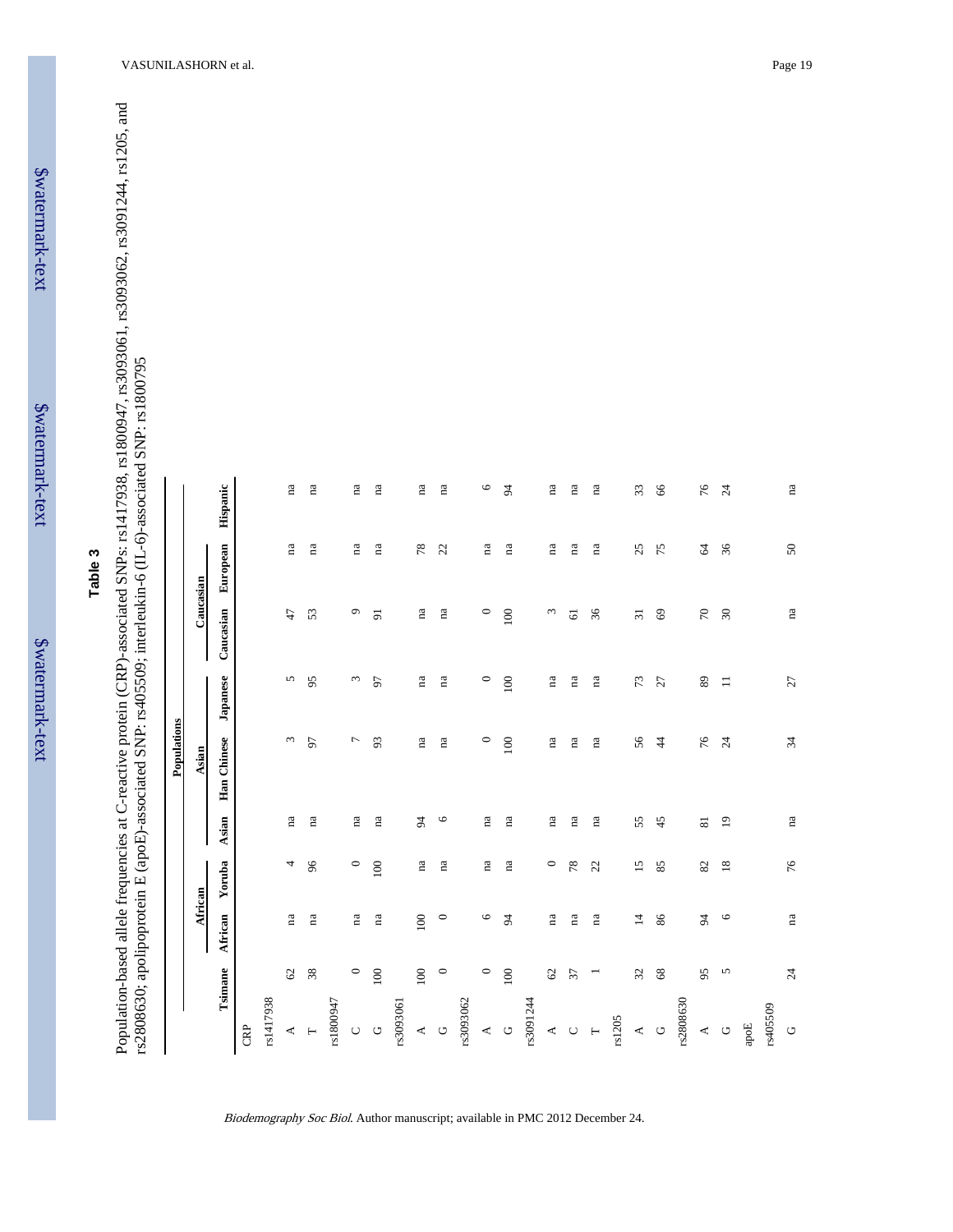\$watermark-text

\$watermark-text

Population-based allele frequencies at C-reactive protein (CRP)-associated SNPs: rs1417938, rs1800947, rs3093061, rs3093062, rs3091244, rs1205, and Population-based allele frequencies at C-reactive protein (CRP)-associated SNPs: rs1417938, rs1800947, rs3093061, rs3093062, rs3091244, rs1205, and rs2808630; apolipoprotein E (apoE)-associated SNP: rs405509; interleukin-6 (IL-6)-associated SNP: rs1800795 rs2808630; apolipoprotein E (apoE)-associated SNP: rs405509; interleukin-6 (IL-6)-associated SNP: rs1800795

|                                                                                                          |                                   |                 |                        | Populations     |                 |                 |                        |                        |
|----------------------------------------------------------------------------------------------------------|-----------------------------------|-----------------|------------------------|-----------------|-----------------|-----------------|------------------------|------------------------|
|                                                                                                          |                                   | African         |                        | Asian           |                 | Caucasian       |                        |                        |
| Tsimane                                                                                                  | African                           | Yoruba          | Asian                  | Han Chinese     | Japanese        | Caucasian       | European               | Hispanic               |
| CRP                                                                                                      |                                   |                 |                        |                 |                 |                 |                        |                        |
| rs1417938                                                                                                |                                   |                 |                        |                 |                 |                 |                        |                        |
| $\begin{array}{c}\n\blacktriangleleft \quad H\n\end{array}$                                              | na<br>$\mathcal{O}$               | 4               | na                     | $\epsilon$      | 5               | 47              | na                     | $\mathbf{n}\mathbf{a}$ |
|                                                                                                          | na<br>$38\,$                      | 96              | na                     | 56              | 95              | 53              | $\mathbf{n}\mathbf{a}$ | $\mathbf{n}\mathbf{a}$ |
| rs1800947                                                                                                |                                   |                 |                        |                 |                 |                 |                        |                        |
| $\circ$ $\circ$                                                                                          | $\mathbf{n}\mathbf{a}$<br>$\circ$ | $\circ$         | $\mathbf{n}\mathbf{a}$ | $\overline{ }$  | $\omega$        | $\circ$         | $\mathbf{n}\mathbf{a}$ | $\rm ^{na}$            |
| 100                                                                                                      | na                                | 100             | na                     | 93              | 57              | 5               | na                     | na                     |
| rs3093061                                                                                                |                                   |                 |                        |                 |                 |                 |                        |                        |
| 100<br>40                                                                                                | 100                               | $\rm ^{na}$     | 54                     | $\rm ^{na}$     | na              | na              | 78                     | $\rm ^{na}$            |
|                                                                                                          | $\circ$<br>$\circ$                | na              | $\circ$                | na              | na              | na              | 22                     | na                     |
| rs3093062                                                                                                |                                   |                 |                        |                 |                 |                 |                        |                        |
|                                                                                                          | $\circ$<br>$\circ$                | na              | na                     | $\circ$         | $\circ$         | $\circ$         | пa                     | $\circ$                |
| $100\,$<br>$\begin{array}{c}\n\uparrow \\ \uparrow\n\end{array}$                                         | $\sharp$                          | na              | na                     | 100             | 100             | 100             | na                     | 54                     |
| rs3091244                                                                                                |                                   |                 |                        |                 |                 |                 |                        |                        |
|                                                                                                          | na<br>$\mathcal{O}$               | $\circ$         | na                     | na              | na              | $\omega$        | пa                     | na                     |
| 37<br>$\begin{array}{c}\n 4 & 0 \\  7 & 0\n \end{array}$                                                 | na                                | 78              | na                     | na              | na              | $\overline{6}$  | na                     | ma                     |
| Ξ                                                                                                        | na                                | 22              | na                     | na              | na              | 36              | na                     | na                     |
| rs1205                                                                                                   |                                   |                 |                        |                 |                 |                 |                        |                        |
| $\mathfrak{L}$<br>$\begin{array}{cc} & \downarrow & \downarrow \\ & \downarrow & \downarrow \end{array}$ | $\overline{4}$                    | $\overline{15}$ | 55                     | 56              | 73              | $\overline{31}$ | 25                     | 33                     |
|                                                                                                          | 86<br>$68\,$                      | 85              | 45                     | $\ddot{4}$      | 27              | $69\,$          | 75                     | 66                     |
| rs2808630                                                                                                |                                   |                 |                        |                 |                 |                 |                        |                        |
| 95<br>$\begin{array}{cc} & \triangle & \heartsuit \end{array}$                                           | 54                                | 82              | $\overline{8}$         | 76              | 89              | $\sqrt{2}$      | 2                      | 76                     |
|                                                                                                          | $\circ$<br>5                      | $\overline{18}$ | $\overline{1}$         | $\overline{24}$ | $\equiv$        | $30\,$          | 36                     | $\overline{24}$        |
| apoE                                                                                                     |                                   |                 |                        |                 |                 |                 |                        |                        |
| rs405509                                                                                                 |                                   |                 |                        |                 |                 |                 |                        |                        |
| $\circ$                                                                                                  | na<br>$\overline{24}$             | 76              | na                     | 34              | $\overline{27}$ | na              | $50\,$                 | na                     |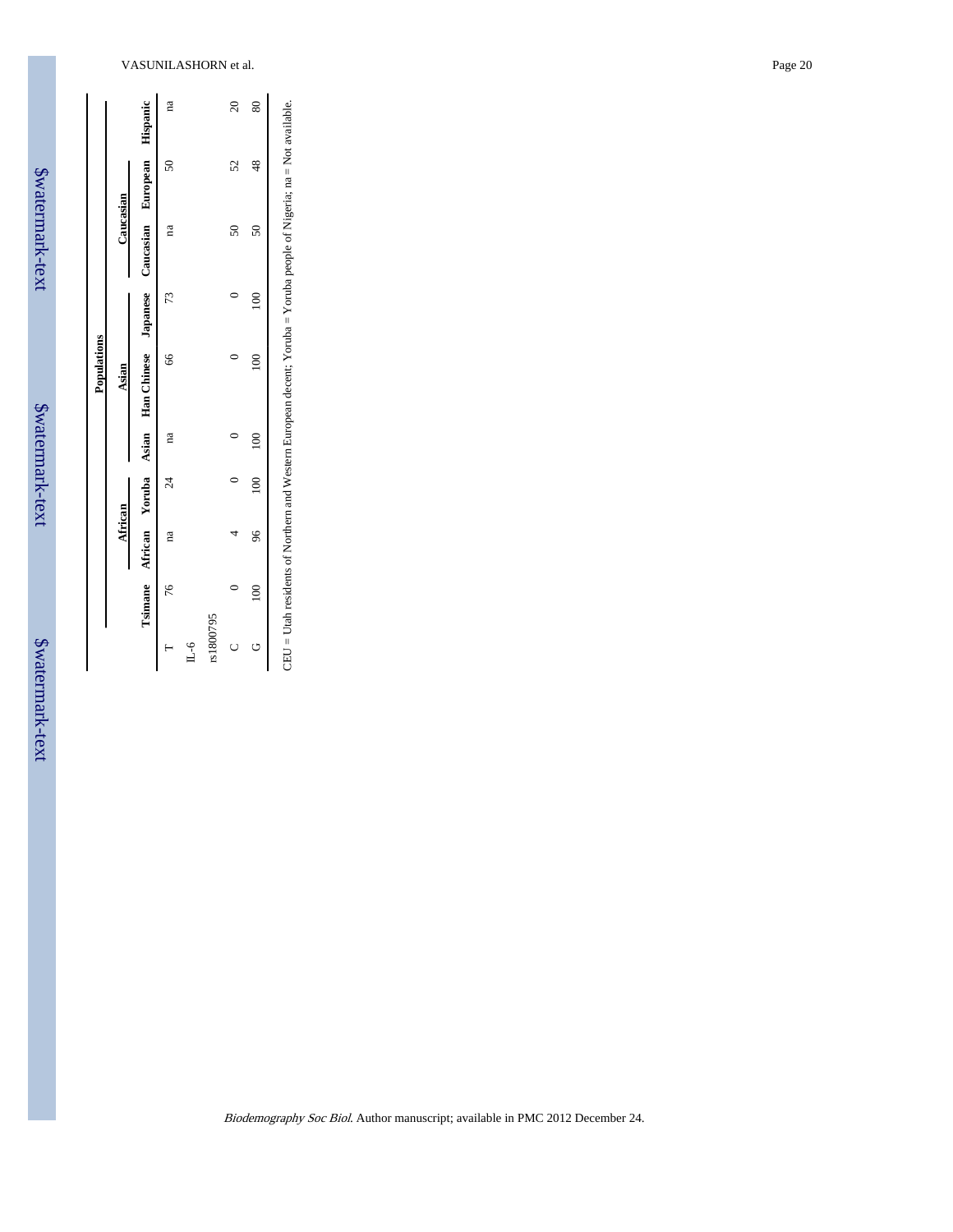| i      |
|--------|
| Ì<br>ŗ |
| h      |
| ţ      |
|        |
| ֦֧֛֓֟  |
|        |

\$watermark-text

\$watermark-text

| $\ddot{\phantom{0}}$<br>$\ddot{\phantom{1}}$ |
|----------------------------------------------|
|                                              |
| <b>AVAL</b>                                  |
|                                              |
| <b>There</b>                                 |
|                                              |
|                                              |
| ר<br>י                                       |
|                                              |
|                                              |

| Tsimane African Yoruba Asian Han Chinese Japanese Caucasian European Hispanic<br>Caucasian<br>$\overline{50}$<br>$\overline{50}$<br>na<br>100<br>73<br>$\frac{66}{5}$<br>Ξ<br>Asian<br>100 100<br>na<br>24<br>African<br>96<br>na<br>76<br>$\approx$<br>rs1800795 |  |  | Populations |  |    |           |
|-------------------------------------------------------------------------------------------------------------------------------------------------------------------------------------------------------------------------------------------------------------------|--|--|-------------|--|----|-----------|
|                                                                                                                                                                                                                                                                   |  |  |             |  |    |           |
|                                                                                                                                                                                                                                                                   |  |  |             |  |    |           |
|                                                                                                                                                                                                                                                                   |  |  |             |  | ິຣ | na        |
|                                                                                                                                                                                                                                                                   |  |  |             |  |    |           |
|                                                                                                                                                                                                                                                                   |  |  |             |  |    |           |
|                                                                                                                                                                                                                                                                   |  |  |             |  | 52 | $\approx$ |
|                                                                                                                                                                                                                                                                   |  |  |             |  | 48 | 80        |

l.

 $\overline{\phantom{a}}$ <br>CEU = Utah residents of Northern and Western European decent; Yoruba = Yoruba people of Nigeria; na = Not available. CEU = Utah residents of Northern and Western European decent; Yoruba = Yoruba people of Nigeria; na = Not available.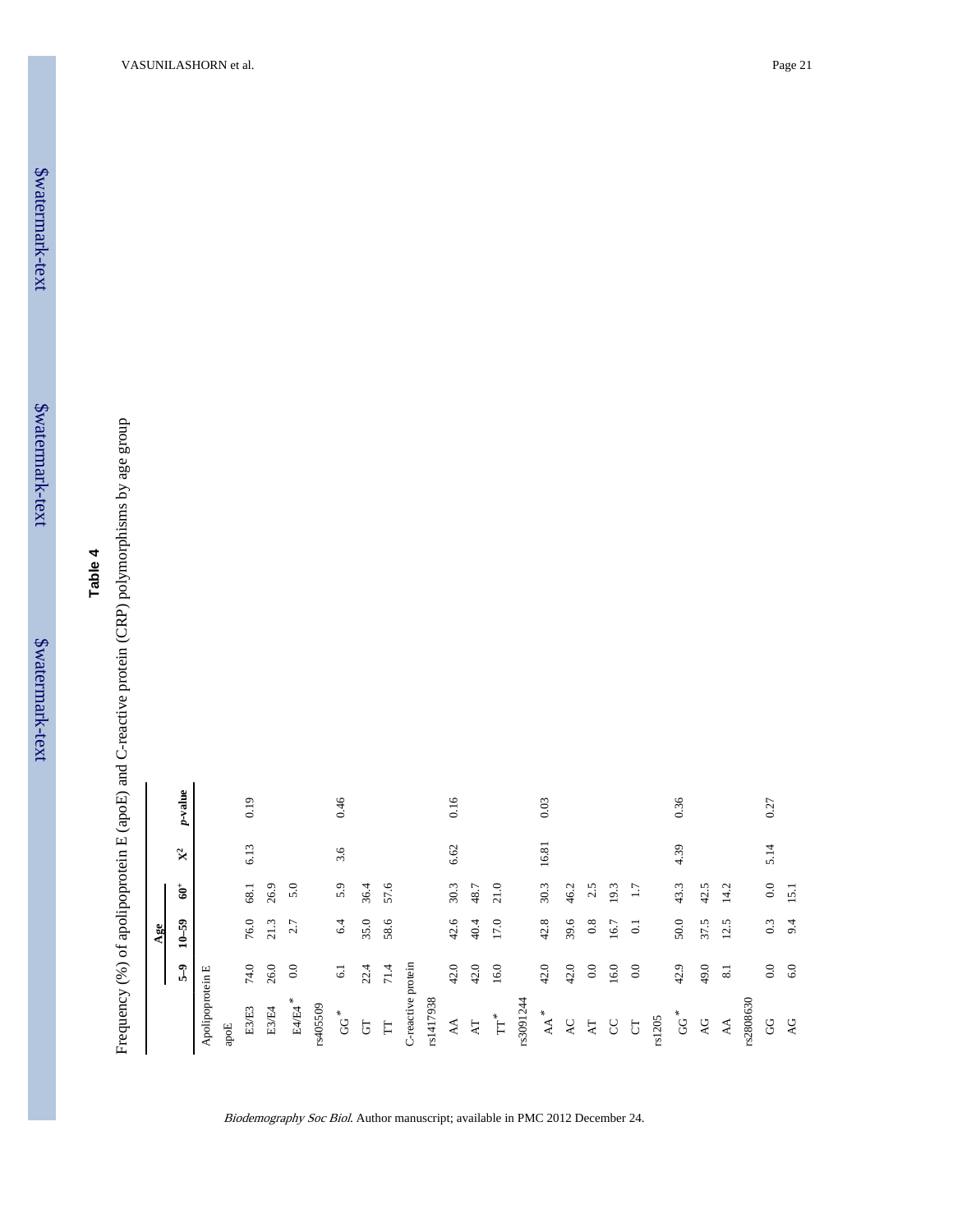\$watermark-text \$watermark-text **Table 4**

Frequency (%) of apolipoprotein E (apoE) and C-reactive protein (CRP) polymorphisms by age group Frequency (%) of apolipoprotein E (apoE) and C-reactive protein (CRP) polymorphisms by age group

| $_{\rm 0.0}$<br>$\mathbf{\hat{g}}^+$<br>5.0<br>36.4<br>57.6<br>30.3<br>21.0<br>30.3<br>42.5<br>5.9<br>48.7<br>43.3<br>26.9<br>46.2<br>14.2<br>68.1<br>2.5<br>19.3<br>$\overline{11}$<br>15.1<br>76.0<br>17.0<br>42.8<br>50.0<br>35.0<br>58.6<br>42.6<br>40.4<br>39.6<br>$6.4\,$<br>37.5<br>$0.3\,$<br>12.5<br>9.4<br>$10 - 59$<br>$21.3$<br>2.7<br>$0.8\,$<br>16.7<br>$\Xi$<br>42.0<br>42.0<br>16.0<br>$0.0\,$<br>49.0<br>0.0<br>$5-9$<br>$74.0$<br>0.0<br>42.0<br>42.0<br>16.0<br>$_{0.0}$<br>42.9<br>6.0<br>22.4<br>26.0<br>$71.4$<br>8.1<br>$6.1\,$<br>Apolipoprotein E<br>$E4/E4$ $^{\ast}$<br>E3/E4<br>E3/E3<br>$\mathbf{A}\mathbf{A}^*$<br>$\rm{G}^{\rm G}$<br>$\rm{G}G^*$<br>$\mathrm{TT}^*$<br>$\forall$<br>$\mathbf{A}\mathbf{T}$<br>$\mathsf{AG}$<br>$\mathsf{AC}$<br>$\forall A$<br>$\mathbf{A}\mathbf{T}$<br>$\rm G$<br>$\mathsf{A}\mathsf{G}$<br>$\overline{G}$<br>$\overline{\text{C}}$<br>$\Gamma$<br>$\rm ^C$<br>apoE |          |     |                |            |
|---------------------------------------------------------------------------------------------------------------------------------------------------------------------------------------------------------------------------------------------------------------------------------------------------------------------------------------------------------------------------------------------------------------------------------------------------------------------------------------------------------------------------------------------------------------------------------------------------------------------------------------------------------------------------------------------------------------------------------------------------------------------------------------------------------------------------------------------------------------------------------------------------------------------------------------|----------|-----|----------------|------------|
|                                                                                                                                                                                                                                                                                                                                                                                                                                                                                                                                                                                                                                                                                                                                                                                                                                                                                                                                       |          | Age |                |            |
|                                                                                                                                                                                                                                                                                                                                                                                                                                                                                                                                                                                                                                                                                                                                                                                                                                                                                                                                       |          |     | $\mathbb{X}^2$ | $p$ -value |
|                                                                                                                                                                                                                                                                                                                                                                                                                                                                                                                                                                                                                                                                                                                                                                                                                                                                                                                                       |          |     |                |            |
|                                                                                                                                                                                                                                                                                                                                                                                                                                                                                                                                                                                                                                                                                                                                                                                                                                                                                                                                       |          |     |                |            |
|                                                                                                                                                                                                                                                                                                                                                                                                                                                                                                                                                                                                                                                                                                                                                                                                                                                                                                                                       |          |     | 6.13           | 0.19       |
|                                                                                                                                                                                                                                                                                                                                                                                                                                                                                                                                                                                                                                                                                                                                                                                                                                                                                                                                       |          |     |                |            |
|                                                                                                                                                                                                                                                                                                                                                                                                                                                                                                                                                                                                                                                                                                                                                                                                                                                                                                                                       |          |     |                |            |
|                                                                                                                                                                                                                                                                                                                                                                                                                                                                                                                                                                                                                                                                                                                                                                                                                                                                                                                                       | rs405509 |     |                |            |
| C-reactive protein                                                                                                                                                                                                                                                                                                                                                                                                                                                                                                                                                                                                                                                                                                                                                                                                                                                                                                                    |          |     | 3.6            | 0.46       |
|                                                                                                                                                                                                                                                                                                                                                                                                                                                                                                                                                                                                                                                                                                                                                                                                                                                                                                                                       |          |     |                |            |
|                                                                                                                                                                                                                                                                                                                                                                                                                                                                                                                                                                                                                                                                                                                                                                                                                                                                                                                                       |          |     |                |            |
| rs1417938                                                                                                                                                                                                                                                                                                                                                                                                                                                                                                                                                                                                                                                                                                                                                                                                                                                                                                                             |          |     |                |            |
|                                                                                                                                                                                                                                                                                                                                                                                                                                                                                                                                                                                                                                                                                                                                                                                                                                                                                                                                       |          |     |                |            |
| rs3091244                                                                                                                                                                                                                                                                                                                                                                                                                                                                                                                                                                                                                                                                                                                                                                                                                                                                                                                             |          |     | 6.62           | 0.16       |
|                                                                                                                                                                                                                                                                                                                                                                                                                                                                                                                                                                                                                                                                                                                                                                                                                                                                                                                                       |          |     |                |            |
|                                                                                                                                                                                                                                                                                                                                                                                                                                                                                                                                                                                                                                                                                                                                                                                                                                                                                                                                       |          |     |                |            |
|                                                                                                                                                                                                                                                                                                                                                                                                                                                                                                                                                                                                                                                                                                                                                                                                                                                                                                                                       |          |     |                |            |
|                                                                                                                                                                                                                                                                                                                                                                                                                                                                                                                                                                                                                                                                                                                                                                                                                                                                                                                                       |          |     | 16.81          | 0.03       |
|                                                                                                                                                                                                                                                                                                                                                                                                                                                                                                                                                                                                                                                                                                                                                                                                                                                                                                                                       |          |     |                |            |
|                                                                                                                                                                                                                                                                                                                                                                                                                                                                                                                                                                                                                                                                                                                                                                                                                                                                                                                                       |          |     |                |            |
|                                                                                                                                                                                                                                                                                                                                                                                                                                                                                                                                                                                                                                                                                                                                                                                                                                                                                                                                       |          |     |                |            |
|                                                                                                                                                                                                                                                                                                                                                                                                                                                                                                                                                                                                                                                                                                                                                                                                                                                                                                                                       |          |     |                |            |
| rs2808630                                                                                                                                                                                                                                                                                                                                                                                                                                                                                                                                                                                                                                                                                                                                                                                                                                                                                                                             | rs1205   |     |                |            |
|                                                                                                                                                                                                                                                                                                                                                                                                                                                                                                                                                                                                                                                                                                                                                                                                                                                                                                                                       |          |     | 4.39           | 0.36       |
|                                                                                                                                                                                                                                                                                                                                                                                                                                                                                                                                                                                                                                                                                                                                                                                                                                                                                                                                       |          |     |                |            |
|                                                                                                                                                                                                                                                                                                                                                                                                                                                                                                                                                                                                                                                                                                                                                                                                                                                                                                                                       |          |     |                |            |
|                                                                                                                                                                                                                                                                                                                                                                                                                                                                                                                                                                                                                                                                                                                                                                                                                                                                                                                                       |          |     |                |            |
|                                                                                                                                                                                                                                                                                                                                                                                                                                                                                                                                                                                                                                                                                                                                                                                                                                                                                                                                       |          |     | 5.14           | 0.27       |
|                                                                                                                                                                                                                                                                                                                                                                                                                                                                                                                                                                                                                                                                                                                                                                                                                                                                                                                                       |          |     |                |            |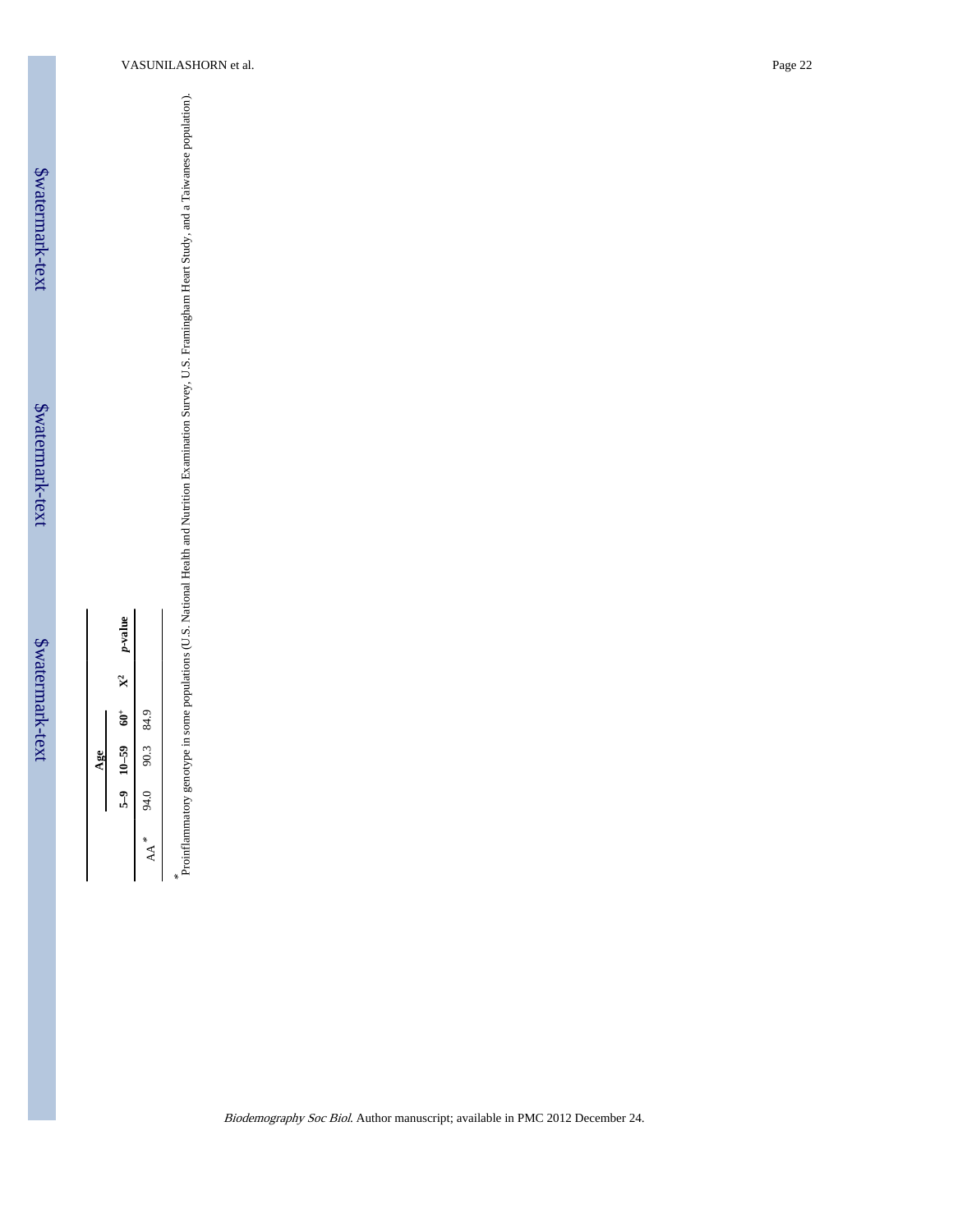Proinflammatory genotype in some populations (U.S. National Health and Nutrition Examination Survey, U.S. Framingham Heart Study, and a Taiwanese population).